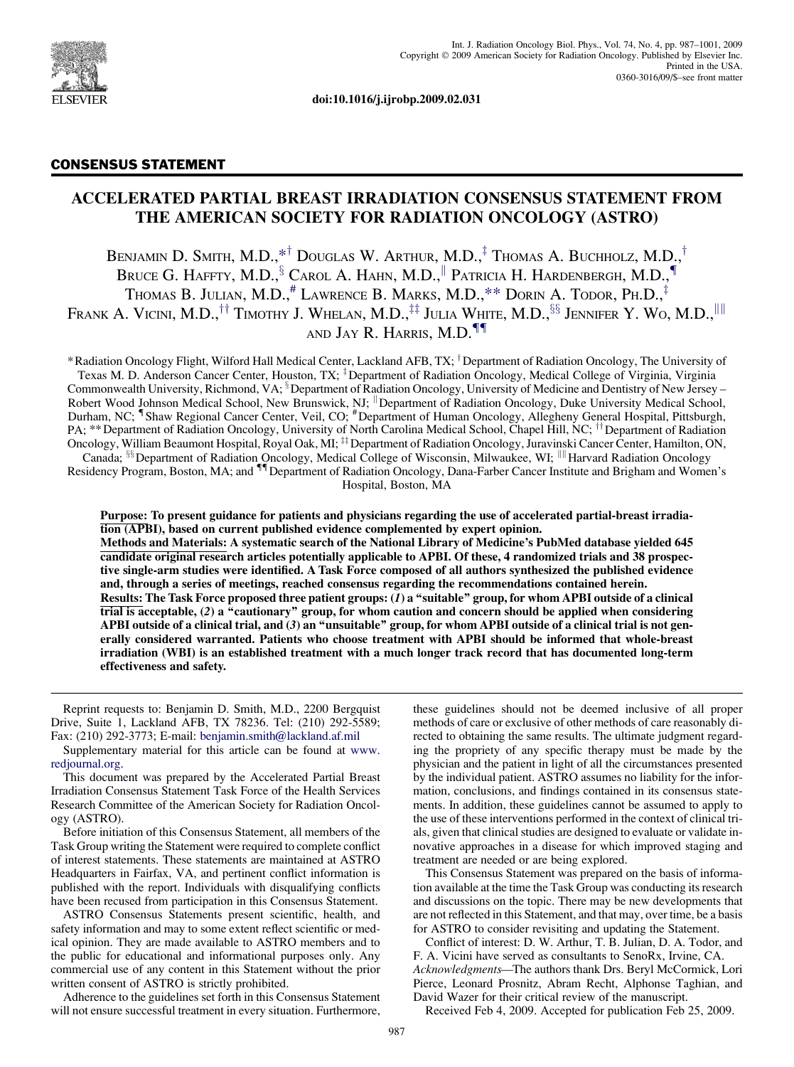

doi:10.1016/j.ijrobp.2009.02.031

# CONSENSUS STATEMENT

# ACCELERATED PARTIAL BREAST IRRADIATION CONSENSUS STATEMENT FROM THE AMERICAN SOCIETY FOR RADIATION ONCOLOGY (ASTRO)

BENJAMIN D. SMITH, M.D.,\*<sup>†</sup> DOUGLAS W. ARTHUR, M.D.,<sup>‡</sup> THOMAS A. BUCHHOLZ, M.D.,<sup>†</sup> BRUCE G. HAFFTY, M.D.,  $\frac{5}{3}$  Carol A. Hahn, M.D., Patricia H. Hardenbergh, M.D., THOMAS B. JULIAN, M.D.,<sup>#</sup> LAWRENCE B. MARKS, M.D.,\*\* DORIN A. TODOR, PH.D.,<sup>‡</sup> Frank A. Vicini, M.D.,<sup>††</sup> Timothy J. Whelan, M.D.,<sup>‡‡</sup> Julia White, M.D.,<sup>§§</sup> Jennifer Y. Wo, M.D.,<sup>|| ||</sup> and Jay R. Harris, M.D. ${}^{{\P} \P}$ 

\*Radiation Oncology Flight, Wilford Hall Medical Center, Lackland AFB, TX; <sup>†</sup>Department of Radiation Oncology, The University of Texas M. D. Anderson Cancer Center, Houston, TX; <sup>‡</sup>Department of Radiation Oncology, Medical College of Virginia, Virginia Commonwealth University, Richmond, VA; <sup>§</sup> Department of Radiation Oncology, University of Medicine and Dentistry of New Jersey – Robert Wood Johnson Medical School, New Brunswick, NJ; <sup>||</sup> Department of Radiation Oncology, Duke University Medical School, Durham, NC; <sup>¶</sup>Shaw Regional Cancer Center, Veil, CO; <sup>#</sup>Department of Human Oncology, Allegheny General Hospital, Pittsburgh,<br>PA; \*\*Department of Radiation Oncology, University of North Carolina Medical School, Chapel Hil Oncology, William Beaumont Hospital, Royal Oak, MI; <sup>‡‡</sup> Department of Radiation Oncology, Juravinski Cancer Center, Hamilton, ON, Canada;  $\frac{\$}{\$}$  Department of Radiation Oncology, Medical College of Wisconsin, Milwaukee, WI; <sup>|||</sup> Harvard Radiation Oncology

Residency Program, Boston, MA; and <sup>11</sup> Department of Radiation Oncology, Dana-Farber Cancer Institute and Brigham and Women's Hospital, Boston, MA

Purpose: To present guidance for patients and physicians regarding the use of accelerated partial-breast irradiation (APBI), based on current published evidence complemented by expert opinion.

Methods and Materials: A systematic search of the National Library of Medicine's PubMed database yielded 645 candidate original research articles potentially applicable to APBI. Of these, 4 randomized trials and 38 prospective single-arm studies were identified. A Task Force composed of all authors synthesized the published evidence and, through a series of meetings, reached consensus regarding the recommendations contained herein. Results: The Task Force proposed three patient groups: (1) a ''suitable'' group, for whom APBI outside of a clinical trial is acceptable, (2) a ''cautionary'' group, for whom caution and concern should be applied when considering APBI outside of a clinical trial, and (3) an ''unsuitable'' group, for whom APBI outside of a clinical trial is not generally considered warranted. Patients who choose treatment with APBI should be informed that whole-breast irradiation (WBI) is an established treatment with a much longer track record that has documented long-term effectiveness and safety.

Reprint requests to: Benjamin D. Smith, M.D., 2200 Bergquist Drive, Suite 1, Lackland AFB, TX 78236. Tel: (210) 292-5589; Fax: (210) 292-3773; E-mail: [benjamin.smith@lackland.af.mil](mailto:benjamin.smith@lackland.af.mil)

Supplementary material for this article can be found at [www.](http://www.redjournal.org) [redjournal.org](http://www.redjournal.org).

This document was prepared by the Accelerated Partial Breast Irradiation Consensus Statement Task Force of the Health Services Research Committee of the American Society for Radiation Oncology (ASTRO).

Before initiation of this Consensus Statement, all members of the Task Group writing the Statement were required to complete conflict of interest statements. These statements are maintained at ASTRO Headquarters in Fairfax, VA, and pertinent conflict information is published with the report. Individuals with disqualifying conflicts have been recused from participation in this Consensus Statement.

ASTRO Consensus Statements present scientific, health, and safety information and may to some extent reflect scientific or medical opinion. They are made available to ASTRO members and to the public for educational and informational purposes only. Any commercial use of any content in this Statement without the prior written consent of ASTRO is strictly prohibited.

Adherence to the guidelines set forth in this Consensus Statement will not ensure successful treatment in every situation. Furthermore,

these guidelines should not be deemed inclusive of all proper methods of care or exclusive of other methods of care reasonably directed to obtaining the same results. The ultimate judgment regarding the propriety of any specific therapy must be made by the physician and the patient in light of all the circumstances presented by the individual patient. ASTRO assumes no liability for the information, conclusions, and findings contained in its consensus statements. In addition, these guidelines cannot be assumed to apply to the use of these interventions performed in the context of clinical trials, given that clinical studies are designed to evaluate or validate innovative approaches in a disease for which improved staging and treatment are needed or are being explored.

This Consensus Statement was prepared on the basis of information available at the time the Task Group was conducting its research and discussions on the topic. There may be new developments that are not reflected in this Statement, and that may, over time, be a basis for ASTRO to consider revisiting and updating the Statement.

Conflict of interest: D. W. Arthur, T. B. Julian, D. A. Todor, and F. A. Vicini have served as consultants to SenoRx, Irvine, CA. Acknowledgments—The authors thank Drs. Beryl McCormick, Lori Pierce, Leonard Prosnitz, Abram Recht, Alphonse Taghian, and David Wazer for their critical review of the manuscript.

Received Feb 4, 2009. Accepted for publication Feb 25, 2009.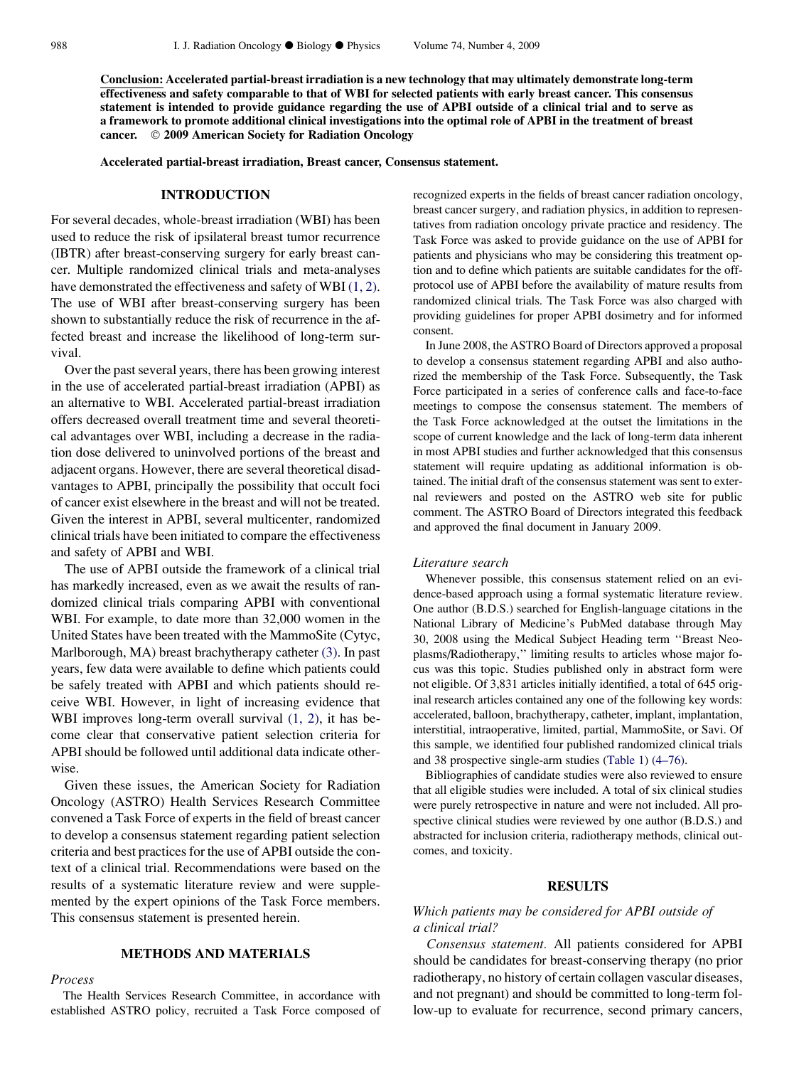Conclusion: Accelerated partial-breast irradiation is a new technology that may ultimately demonstrate long-term effectiveness and safety comparable to that of WBI for selected patients with early breast cancer. This consensus statement is intended to provide guidance regarding the use of APBI outside of a clinical trial and to serve as a framework to promote additional clinical investigations into the optimal role of APBI in the treatment of breast cancer. © 2009 American Society for Radiation Oncology

Accelerated partial-breast irradiation, Breast cancer, Consensus statement.

#### INTRODUCTION

For several decades, whole-breast irradiation (WBI) has been used to reduce the risk of ipsilateral breast tumor recurrence (IBTR) after breast-conserving surgery for early breast cancer. Multiple randomized clinical trials and meta-analyses have demonstrated the effectiveness and safety of WBI [\(1, 2\).](#page-11-0) The use of WBI after breast-conserving surgery has been shown to substantially reduce the risk of recurrence in the affected breast and increase the likelihood of long-term survival.

Over the past several years, there has been growing interest in the use of accelerated partial-breast irradiation (APBI) as an alternative to WBI. Accelerated partial-breast irradiation offers decreased overall treatment time and several theoretical advantages over WBI, including a decrease in the radiation dose delivered to uninvolved portions of the breast and adjacent organs. However, there are several theoretical disadvantages to APBI, principally the possibility that occult foci of cancer exist elsewhere in the breast and will not be treated. Given the interest in APBI, several multicenter, randomized clinical trials have been initiated to compare the effectiveness and safety of APBI and WBI.

The use of APBI outside the framework of a clinical trial has markedly increased, even as we await the results of randomized clinical trials comparing APBI with conventional WBI. For example, to date more than 32,000 women in the United States have been treated with the MammoSite (Cytyc, Marlborough, MA) breast brachytherapy catheter [\(3\).](#page-12-0) In past years, few data were available to define which patients could be safely treated with APBI and which patients should receive WBI. However, in light of increasing evidence that WBI improves long-term overall survival  $(1, 2)$ , it has become clear that conservative patient selection criteria for APBI should be followed until additional data indicate otherwise.

Given these issues, the American Society for Radiation Oncology (ASTRO) Health Services Research Committee convened a Task Force of experts in the field of breast cancer to develop a consensus statement regarding patient selection criteria and best practices for the use of APBI outside the context of a clinical trial. Recommendations were based on the results of a systematic literature review and were supplemented by the expert opinions of the Task Force members. This consensus statement is presented herein.

### METHODS AND MATERIALS

#### Process

The Health Services Research Committee, in accordance with established ASTRO policy, recruited a Task Force composed of recognized experts in the fields of breast cancer radiation oncology, breast cancer surgery, and radiation physics, in addition to representatives from radiation oncology private practice and residency. The Task Force was asked to provide guidance on the use of APBI for patients and physicians who may be considering this treatment option and to define which patients are suitable candidates for the offprotocol use of APBI before the availability of mature results from randomized clinical trials. The Task Force was also charged with providing guidelines for proper APBI dosimetry and for informed consent.

In June 2008, the ASTRO Board of Directors approved a proposal to develop a consensus statement regarding APBI and also authorized the membership of the Task Force. Subsequently, the Task Force participated in a series of conference calls and face-to-face meetings to compose the consensus statement. The members of the Task Force acknowledged at the outset the limitations in the scope of current knowledge and the lack of long-term data inherent in most APBI studies and further acknowledged that this consensus statement will require updating as additional information is obtained. The initial draft of the consensus statement was sent to external reviewers and posted on the ASTRO web site for public comment. The ASTRO Board of Directors integrated this feedback and approved the final document in January 2009.

#### Literature search

Whenever possible, this consensus statement relied on an evidence-based approach using a formal systematic literature review. One author (B.D.S.) searched for English-language citations in the National Library of Medicine's PubMed database through May 30, 2008 using the Medical Subject Heading term ''Breast Neoplasms/Radiotherapy,'' limiting results to articles whose major focus was this topic. Studies published only in abstract form were not eligible. Of 3,831 articles initially identified, a total of 645 original research articles contained any one of the following key words: accelerated, balloon, brachytherapy, catheter, implant, implantation, interstitial, intraoperative, limited, partial, MammoSite, or Savi. Of this sample, we identified four published randomized clinical trials and 38 prospective single-arm studies ([Table 1\)](#page-2-0) [\(4–76\).](#page-12-0)

Bibliographies of candidate studies were also reviewed to ensure that all eligible studies were included. A total of six clinical studies were purely retrospective in nature and were not included. All prospective clinical studies were reviewed by one author (B.D.S.) and abstracted for inclusion criteria, radiotherapy methods, clinical outcomes, and toxicity.

#### RESULTS

### Which patients may be considered for APBI outside of a clinical trial?

Consensus statement. All patients considered for APBI should be candidates for breast-conserving therapy (no prior radiotherapy, no history of certain collagen vascular diseases, and not pregnant) and should be committed to long-term follow-up to evaluate for recurrence, second primary cancers,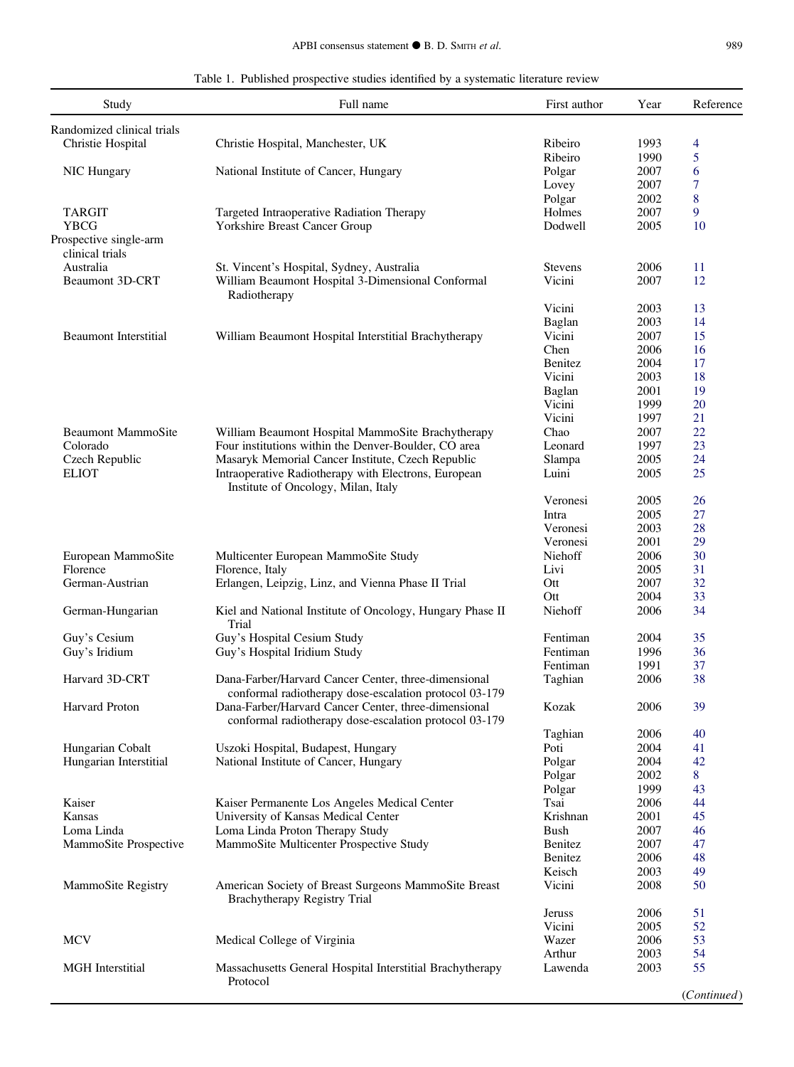|  |  | Table 1. Published prospective studies identified by a systematic literature review |  |  |  |  |  |  |
|--|--|-------------------------------------------------------------------------------------|--|--|--|--|--|--|
|--|--|-------------------------------------------------------------------------------------|--|--|--|--|--|--|

<span id="page-2-0"></span>

| Study                        | Full name                                                                                   | First author   | Year | Reference   |
|------------------------------|---------------------------------------------------------------------------------------------|----------------|------|-------------|
| Randomized clinical trials   |                                                                                             |                |      |             |
| Christie Hospital            | Christie Hospital, Manchester, UK                                                           | Ribeiro        | 1993 | 4           |
|                              |                                                                                             | Ribeiro        | 1990 | 5           |
| NIC Hungary                  | National Institute of Cancer, Hungary                                                       | Polgar         | 2007 | 6           |
|                              |                                                                                             | Lovey          | 2007 | 7           |
|                              |                                                                                             | Polgar         | 2002 | 8           |
| TARGIT                       | Targeted Intraoperative Radiation Therapy                                                   | Holmes         | 2007 | 9           |
| <b>YBCG</b>                  | Yorkshire Breast Cancer Group                                                               | Dodwell        | 2005 | 10          |
| Prospective single-arm       |                                                                                             |                |      |             |
| clinical trials              |                                                                                             |                |      |             |
| Australia                    |                                                                                             | <b>Stevens</b> | 2006 | 11          |
|                              | St. Vincent's Hospital, Sydney, Australia                                                   |                |      |             |
| <b>Beaumont 3D-CRT</b>       | William Beaumont Hospital 3-Dimensional Conformal<br>Radiotherapy                           | Vicini         | 2007 | 12          |
|                              |                                                                                             | Vicini         | 2003 | 13          |
|                              |                                                                                             | Baglan         | 2003 | 14          |
| <b>Beaumont Interstitial</b> | William Beaumont Hospital Interstitial Brachytherapy                                        | Vicini         | 2007 | 15          |
|                              |                                                                                             | Chen           | 2006 | 16          |
|                              |                                                                                             | Benitez        | 2004 | 17          |
|                              |                                                                                             | Vicini         | 2003 | 18          |
|                              |                                                                                             | Baglan         | 2001 | 19          |
|                              |                                                                                             | Vicini         | 1999 | 20          |
|                              |                                                                                             |                |      |             |
|                              |                                                                                             | Vicini         | 1997 | 21          |
| <b>Beaumont MammoSite</b>    | William Beaumont Hospital MammoSite Brachytherapy                                           | Chao           | 2007 | 22          |
| Colorado                     | Four institutions within the Denver-Boulder, CO area                                        | Leonard        | 1997 | 23          |
| Czech Republic               | Masaryk Memorial Cancer Institute, Czech Republic                                           | Slampa         | 2005 | 24          |
| <b>ELIOT</b>                 | Intraoperative Radiotherapy with Electrons, European<br>Institute of Oncology, Milan, Italy | Luini          | 2005 | 25          |
|                              |                                                                                             | Veronesi       | 2005 | 26          |
|                              |                                                                                             | Intra          | 2005 | 27          |
|                              |                                                                                             | Veronesi       | 2003 | 28          |
|                              |                                                                                             | Veronesi       | 2001 | 29          |
|                              |                                                                                             |                |      |             |
| European MammoSite           | Multicenter European MammoSite Study                                                        | Niehoff        | 2006 | 30          |
| Florence                     | Florence, Italy                                                                             | Livi           | 2005 | 31          |
| German-Austrian              | Erlangen, Leipzig, Linz, and Vienna Phase II Trial                                          | Ott            | 2007 | 32          |
|                              |                                                                                             | Ott            | 2004 | 33          |
| German-Hungarian             | Kiel and National Institute of Oncology, Hungary Phase II<br>Trial                          | Niehoff        | 2006 | 34          |
| Guy's Cesium                 | Guy's Hospital Cesium Study                                                                 | Fentiman       | 2004 | 35          |
| Guy's Iridium                | Guy's Hospital Iridium Study                                                                | Fentiman       | 1996 | 36          |
|                              |                                                                                             | Fentiman       | 1991 | 37          |
| Harvard 3D-CRT               | Dana-Farber/Harvard Cancer Center, three-dimensional                                        | Taghian        | 2006 | 38          |
|                              | conformal radiotherapy dose-escalation protocol 03-179                                      |                |      |             |
| Harvard Proton               | Dana-Farber/Harvard Cancer Center, three-dimensional                                        | Kozak          | 2006 | 39          |
|                              | conformal radiotherapy dose-escalation protocol 03-179                                      |                |      |             |
|                              |                                                                                             |                |      |             |
|                              |                                                                                             | Taghian        | 2006 | 40          |
| Hungarian Cobalt             | Uszoki Hospital, Budapest, Hungary                                                          | Poti           | 2004 | 41          |
| Hungarian Interstitial       | National Institute of Cancer, Hungary                                                       | Polgar         | 2004 | 42          |
|                              |                                                                                             | Polgar         | 2002 | 8           |
|                              |                                                                                             | Polgar         | 1999 | 43          |
| Kaiser                       | Kaiser Permanente Los Angeles Medical Center                                                | Tsai           | 2006 | 44          |
| Kansas                       | University of Kansas Medical Center                                                         | Krishnan       | 2001 | 45          |
| Loma Linda                   | Loma Linda Proton Therapy Study                                                             | Bush           | 2007 | 46          |
| MammoSite Prospective        | MammoSite Multicenter Prospective Study                                                     | Benitez        | 2007 | 47          |
|                              |                                                                                             | Benitez        | 2006 | 48          |
|                              |                                                                                             | Keisch         | 2003 | 49          |
| MammoSite Registry           | American Society of Breast Surgeons MammoSite Breast                                        | Vicini         | 2008 | 50          |
|                              | Brachytherapy Registry Trial                                                                |                |      |             |
|                              |                                                                                             | <b>Jeruss</b>  | 2006 | 51          |
|                              |                                                                                             | Vicini         | 2005 | 52          |
| <b>MCV</b>                   | Medical College of Virginia                                                                 | Wazer          | 2006 | 53          |
|                              |                                                                                             | Arthur         | 2003 | 54          |
| <b>MGH</b> Interstitial      | Massachusetts General Hospital Interstitial Brachytherapy<br>Protocol                       | Lawenda        | 2003 | 55          |
|                              |                                                                                             |                |      | (Continued) |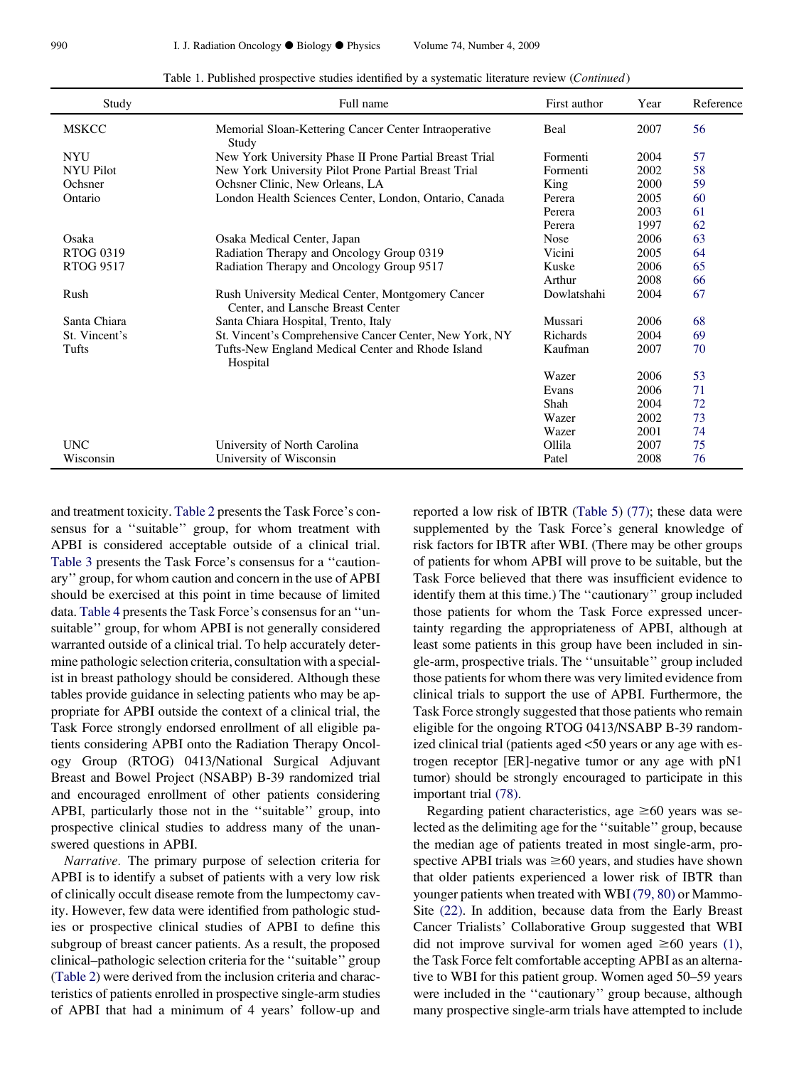| Study            | Full name                                                                              | First author | Year | Reference |
|------------------|----------------------------------------------------------------------------------------|--------------|------|-----------|
| <b>MSKCC</b>     | Memorial Sloan-Kettering Cancer Center Intraoperative<br>Study                         | Beal         | 2007 | 56        |
| <b>NYU</b>       | New York University Phase II Prone Partial Breast Trial                                | Formenti     | 2004 | 57        |
| <b>NYU Pilot</b> | New York University Pilot Prone Partial Breast Trial                                   | Formenti     | 2002 | 58        |
| Ochsner          | Ochsner Clinic, New Orleans, LA                                                        | King         | 2000 | 59        |
| Ontario          | London Health Sciences Center, London, Ontario, Canada                                 | Perera       | 2005 | 60        |
|                  |                                                                                        | Perera       | 2003 | 61        |
|                  |                                                                                        | Perera       | 1997 | 62        |
| Osaka            | Osaka Medical Center, Japan                                                            | <b>Nose</b>  | 2006 | 63        |
| RTOG 0319        | Radiation Therapy and Oncology Group 0319                                              | Vicini       | 2005 | 64        |
| <b>RTOG 9517</b> | Radiation Therapy and Oncology Group 9517                                              | Kuske        | 2006 | 65        |
|                  |                                                                                        | Arthur       | 2008 | 66        |
| Rush             | Rush University Medical Center, Montgomery Cancer<br>Center, and Lansche Breast Center | Dowlatshahi  | 2004 | 67        |
| Santa Chiara     | Santa Chiara Hospital, Trento, Italy                                                   | Mussari      | 2006 | 68        |
| St. Vincent's    | St. Vincent's Comprehensive Cancer Center, New York, NY                                | Richards     | 2004 | 69        |
| Tufts            | Tufts-New England Medical Center and Rhode Island<br>Hospital                          | Kaufman      | 2007 | 70        |
|                  |                                                                                        | Wazer        | 2006 | 53        |
|                  |                                                                                        | Evans        | 2006 | 71        |
|                  |                                                                                        | Shah         | 2004 | 72        |
|                  |                                                                                        | Wazer        | 2002 | 73        |
|                  |                                                                                        | Wazer        | 2001 | 74        |
| <b>UNC</b>       | University of North Carolina                                                           | Ollila       | 2007 | 75        |
| Wisconsin        | University of Wisconsin                                                                | Patel        | 2008 | 76        |

Table 1. Published prospective studies identified by a systematic literature review (Continued)

and treatment toxicity. [Table 2](#page-4-0) presents the Task Force's consensus for a ''suitable'' group, for whom treatment with APBI is considered acceptable outside of a clinical trial. [Table 3](#page-4-0) presents the Task Force's consensus for a ''cautionary'' group, for whom caution and concern in the use of APBI should be exercised at this point in time because of limited data. [Table 4](#page-4-0) presents the Task Force's consensus for an ''unsuitable'' group, for whom APBI is not generally considered warranted outside of a clinical trial. To help accurately determine pathologic selection criteria, consultation with a specialist in breast pathology should be considered. Although these tables provide guidance in selecting patients who may be appropriate for APBI outside the context of a clinical trial, the Task Force strongly endorsed enrollment of all eligible patients considering APBI onto the Radiation Therapy Oncology Group (RTOG) 0413/National Surgical Adjuvant Breast and Bowel Project (NSABP) B-39 randomized trial and encouraged enrollment of other patients considering APBI, particularly those not in the ''suitable'' group, into prospective clinical studies to address many of the unanswered questions in APBI.

Narrative. The primary purpose of selection criteria for APBI is to identify a subset of patients with a very low risk of clinically occult disease remote from the lumpectomy cavity. However, few data were identified from pathologic studies or prospective clinical studies of APBI to define this subgroup of breast cancer patients. As a result, the proposed clinical–pathologic selection criteria for the ''suitable'' group [\(Table 2\)](#page-4-0) were derived from the inclusion criteria and characteristics of patients enrolled in prospective single-arm studies of APBI that had a minimum of 4 years' follow-up and reported a low risk of IBTR ([Table 5\)](#page-6-0) [\(77\);](#page-14-0) these data were supplemented by the Task Force's general knowledge of risk factors for IBTR after WBI. (There may be other groups of patients for whom APBI will prove to be suitable, but the Task Force believed that there was insufficient evidence to identify them at this time.) The ''cautionary'' group included those patients for whom the Task Force expressed uncertainty regarding the appropriateness of APBI, although at least some patients in this group have been included in single-arm, prospective trials. The ''unsuitable'' group included those patients for whom there was very limited evidence from clinical trials to support the use of APBI. Furthermore, the Task Force strongly suggested that those patients who remain eligible for the ongoing RTOG 0413/NSABP B-39 randomized clinical trial (patients aged <50 years or any age with estrogen receptor [ER]-negative tumor or any age with pN1 tumor) should be strongly encouraged to participate in this important trial [\(78\)](#page-14-0).

Regarding patient characteristics, age  $\geq 60$  years was selected as the delimiting age for the ''suitable'' group, because the median age of patients treated in most single-arm, prospective APBI trials was  $\geq 60$  years, and studies have shown that older patients experienced a lower risk of IBTR than younger patients when treated with WBI [\(79, 80\)](#page-14-0) or Mammo-Site [\(22\).](#page-12-0) In addition, because data from the Early Breast Cancer Trialists' Collaborative Group suggested that WBI did not improve survival for women aged  $\geq 60$  years [\(1\),](#page-11-0) the Task Force felt comfortable accepting APBI as an alternative to WBI for this patient group. Women aged 50–59 years were included in the ''cautionary'' group because, although many prospective single-arm trials have attempted to include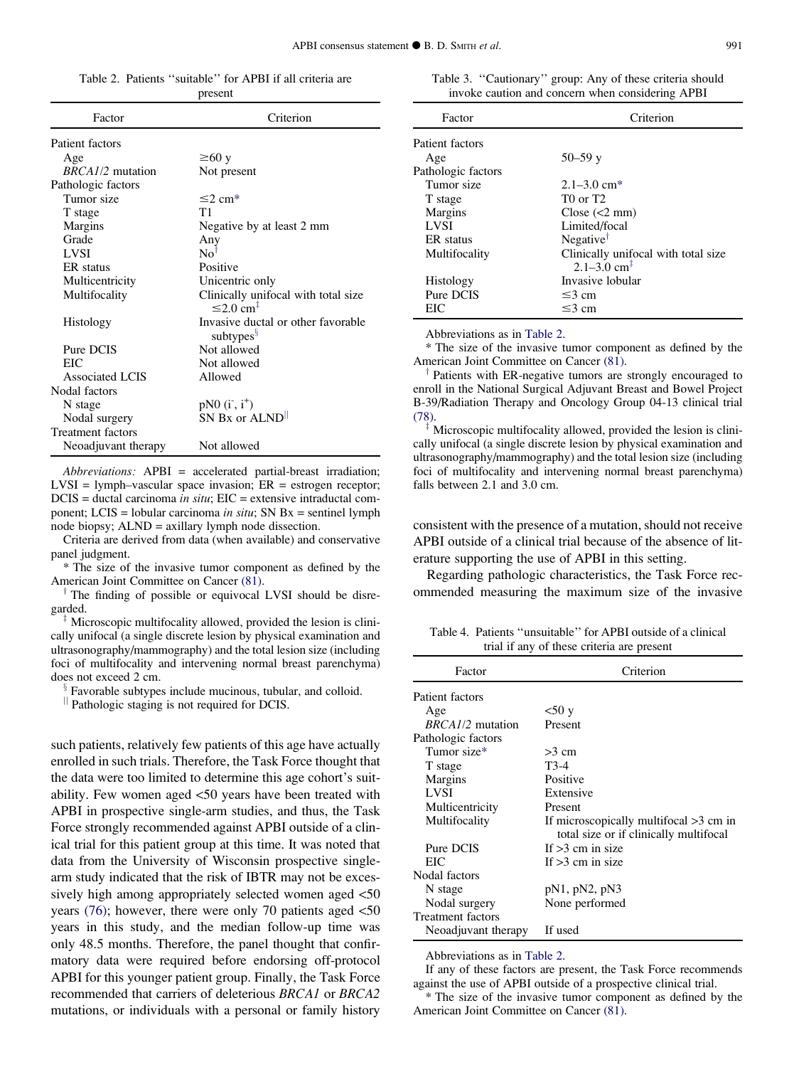<span id="page-4-0"></span>Table 2. Patients ''suitable'' for APBI if all criteria are present

| Factor                   | Criterion                                                         |
|--------------------------|-------------------------------------------------------------------|
| Patient factors          |                                                                   |
| Age                      | $\geq 60$ y                                                       |
| BRCA1/2 mutation         | Not present                                                       |
| Pathologic factors       |                                                                   |
| Tumor size               | $\leq 2$ cm*                                                      |
| T stage                  | T1                                                                |
| Margins                  | Negative by at least 2 mm                                         |
| Grade                    | Any                                                               |
| <b>LVSI</b>              | $\text{No}^{\dagger}$                                             |
| ER status                | Positive                                                          |
| Multicentricity          | Unicentric only                                                   |
| Multifocality            | Clinically unifocal with total size<br>$\leq 2.0$ cm <sup>‡</sup> |
| Histology                | Invasive ductal or other favorable<br>subtypes <sup>§</sup>       |
| Pure DCIS                | Not allowed                                                       |
| EIC                      | Not allowed                                                       |
| Associated LCIS          | Allowed                                                           |
| Nodal factors            |                                                                   |
| N stage                  | $pN0$ $(i^{\dagger}, i^{\dagger})$                                |
| Nodal surgery            | SN Bx or ALND <sup>II</sup>                                       |
| <b>Treatment factors</b> |                                                                   |
| Neoadjuvant therapy      | Not allowed                                                       |

Abbreviations: APBI = accelerated partial-breast irradiation;  $LVSI = lymph-vascular space invasion; ER = estrogen receptor;$  $DCIS =$  ductal carcinoma *in situ*;  $EIC =$  extensive intraductal component; LCIS = lobular carcinoma *in situ*; SN  $Bx$  = sentinel lymph node biopsy; ALND = axillary lymph node dissection.

Criteria are derived from data (when available) and conservative panel judgment.

\* The size of the invasive tumor component as defined by the

American Joint Committee on Cancer [\(81\).](#page-14-0)  $\dagger$  The finding of possible or equivocal LVSI should be disregarded.

Microscopic multifocality allowed, provided the lesion is clinically unifocal (a single discrete lesion by physical examination and ultrasonography/mammography) and the total lesion size (including foci of multifocality and intervening normal breast parenchyma) does not exceed 2 cm.

Favorable subtypes include mucinous, tubular, and colloid.

 $\parallel$  Pathologic staging is not required for DCIS.

such patients, relatively few patients of this age have actually enrolled in such trials. Therefore, the Task Force thought that the data were too limited to determine this age cohort's suitability. Few women aged <50 years have been treated with APBI in prospective single-arm studies, and thus, the Task Force strongly recommended against APBI outside of a clinical trial for this patient group at this time. It was noted that data from the University of Wisconsin prospective singlearm study indicated that the risk of IBTR may not be excessively high among appropriately selected women aged <50 years  $(76)$ ; however, there were only 70 patients aged  $\leq 50$ years in this study, and the median follow-up time was only 48.5 months. Therefore, the panel thought that confirmatory data were required before endorsing off-protocol APBI for this younger patient group. Finally, the Task Force recommended that carriers of deleterious BRCA1 or BRCA2 mutations, or individuals with a personal or family history

Table 3. ''Cautionary'' group: Any of these criteria should invoke caution and concern when considering APBI

| Factor             | Criterion                           |
|--------------------|-------------------------------------|
| Patient factors    |                                     |
| Age                | $50 - 59$ y                         |
| Pathologic factors |                                     |
| Tumor size         | $2.1 - 3.0$ cm <sup>*</sup>         |
| T stage            | T0 or T2                            |
| <b>Margins</b>     | Close $(<2$ mm)                     |
| <b>LVSI</b>        | Limited/focal                       |
| ER status          | Negative <sup>†</sup>               |
| Multifocality      | Clinically unifocal with total size |
|                    | $2.1 - 3.0$ cm <sup>‡</sup>         |
| Histology          | Invasive lobular                    |
| Pure DCIS          | $\leq$ 3 cm                         |
| EIC                | $≤3$ cm                             |

Abbreviations as in Table 2.

\* The size of the invasive tumor component as defined by the

Patients with ER-negative tumors are strongly encouraged to enroll in the National Surgical Adjuvant Breast and Bowel Project B-39/Radiation Therapy and Oncology Group 04-13 clinical trial [\(78\).](#page-14-0)

 $\frac{1}{2}$  Microscopic multifocality allowed, provided the lesion is clinically unifocal (a single discrete lesion by physical examination and ultrasonography/mammography) and the total lesion size (including foci of multifocality and intervening normal breast parenchyma) falls between 2.1 and 3.0 cm.

consistent with the presence of a mutation, should not receive APBI outside of a clinical trial because of the absence of literature supporting the use of APBI in this setting.

Regarding pathologic characteristics, the Task Force recommended measuring the maximum size of the invasive

Table 4. Patients ''unsuitable'' for APBI outside of a clinical trial if any of these criteria are present

| Factor                   | Criterion                                |
|--------------------------|------------------------------------------|
| Patient factors          |                                          |
| Age                      | $<$ 50 y                                 |
| <i>BRCA1/2</i> mutation  | Present                                  |
| Pathologic factors       |                                          |
| Tumor size*              | $>3$ cm                                  |
| T stage                  | T3-4                                     |
| <b>Margins</b>           | Positive                                 |
| <b>LVSI</b>              | Extensive                                |
| Multicentricity          | Present                                  |
| Multifocality            | If microscopically multifocal $>3$ cm in |
|                          | total size or if clinically multifocal   |
| Pure DCIS                | If $>3$ cm in size                       |
| EIC                      | If $>3$ cm in size                       |
| Nodal factors            |                                          |
| N stage                  | pN1, pN2, pN3                            |
| Nodal surgery            | None performed                           |
| <b>Treatment factors</b> |                                          |
| Neoadjuvant therapy      | If used                                  |

Abbreviations as in Table 2.

If any of these factors are present, the Task Force recommends against the use of APBI outside of a prospective clinical trial.

\* The size of the invasive tumor component as defined by the American Joint Committee on Cancer [\(81\).](#page-14-0)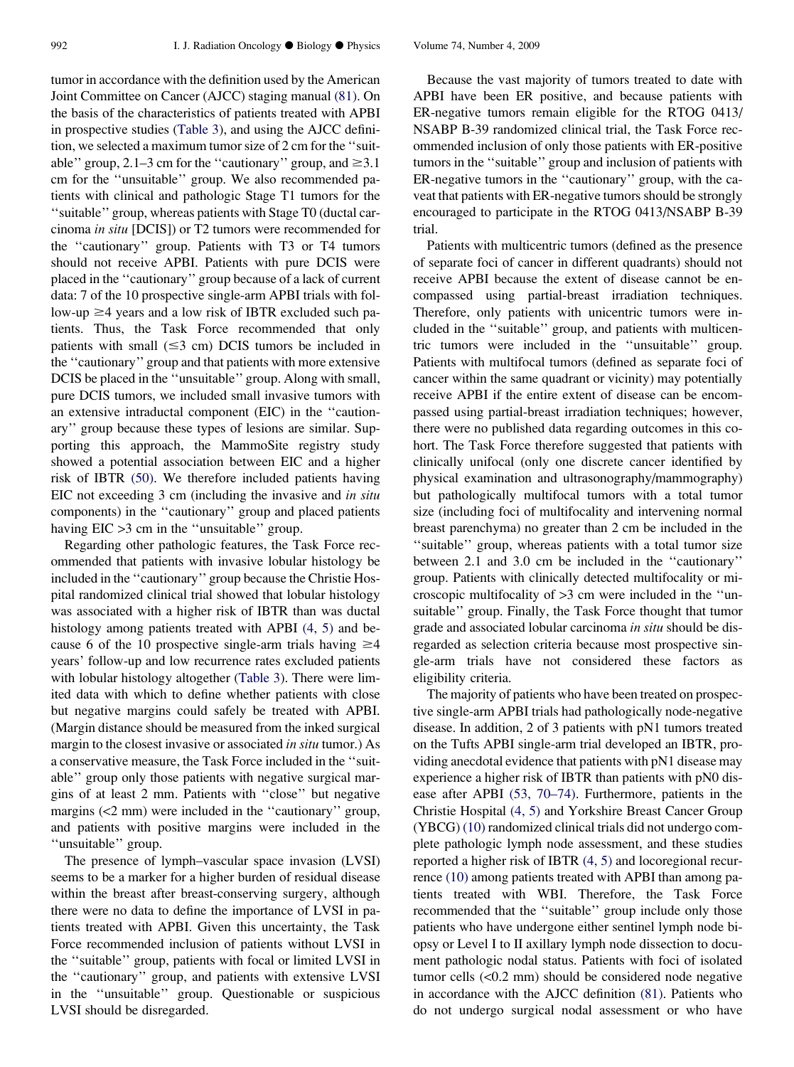tumor in accordance with the definition used by the American Joint Committee on Cancer (AJCC) staging manual [\(81\)](#page-14-0). On the basis of the characteristics of patients treated with APBI in prospective studies ([Table 3\)](#page-4-0), and using the AJCC definition, we selected a maximum tumor size of 2 cm for the ''suitable" group, 2.1–3 cm for the "cautionary" group, and  $\geq 3.1$ cm for the ''unsuitable'' group. We also recommended patients with clinical and pathologic Stage T1 tumors for the ''suitable'' group, whereas patients with Stage T0 (ductal carcinoma in situ [DCIS]) or T2 tumors were recommended for the ''cautionary'' group. Patients with T3 or T4 tumors should not receive APBI. Patients with pure DCIS were placed in the ''cautionary'' group because of a lack of current data: 7 of the 10 prospective single-arm APBI trials with follow-up  $\geq$ 4 years and a low risk of IBTR excluded such patients. Thus, the Task Force recommended that only patients with small  $(\leq 3$  cm) DCIS tumors be included in the ''cautionary'' group and that patients with more extensive DCIS be placed in the ''unsuitable'' group. Along with small, pure DCIS tumors, we included small invasive tumors with an extensive intraductal component (EIC) in the ''cautionary'' group because these types of lesions are similar. Supporting this approach, the MammoSite registry study showed a potential association between EIC and a higher risk of IBTR [\(50\).](#page-13-0) We therefore included patients having EIC not exceeding 3 cm (including the invasive and in situ components) in the ''cautionary'' group and placed patients having EIC  $>3$  cm in the "unsuitable" group.

Regarding other pathologic features, the Task Force recommended that patients with invasive lobular histology be included in the ''cautionary'' group because the Christie Hospital randomized clinical trial showed that lobular histology was associated with a higher risk of IBTR than was ductal histology among patients treated with APBI [\(4, 5\)](#page-12-0) and because 6 of the 10 prospective single-arm trials having  $\geq$ 4 years' follow-up and low recurrence rates excluded patients with lobular histology altogether [\(Table 3](#page-4-0)). There were limited data with which to define whether patients with close but negative margins could safely be treated with APBI. (Margin distance should be measured from the inked surgical margin to the closest invasive or associated in situ tumor.) As a conservative measure, the Task Force included in the ''suitable'' group only those patients with negative surgical margins of at least 2 mm. Patients with ''close'' but negative margins (<2 mm) were included in the ''cautionary'' group, and patients with positive margins were included in the ''unsuitable'' group.

The presence of lymph–vascular space invasion (LVSI) seems to be a marker for a higher burden of residual disease within the breast after breast-conserving surgery, although there were no data to define the importance of LVSI in patients treated with APBI. Given this uncertainty, the Task Force recommended inclusion of patients without LVSI in the ''suitable'' group, patients with focal or limited LVSI in the ''cautionary'' group, and patients with extensive LVSI in the ''unsuitable'' group. Questionable or suspicious LVSI should be disregarded.

Because the vast majority of tumors treated to date with APBI have been ER positive, and because patients with ER-negative tumors remain eligible for the RTOG 0413/ NSABP B-39 randomized clinical trial, the Task Force recommended inclusion of only those patients with ER-positive tumors in the ''suitable'' group and inclusion of patients with ER-negative tumors in the ''cautionary'' group, with the caveat that patients with ER-negative tumors should be strongly encouraged to participate in the RTOG 0413/NSABP B-39 trial.

Patients with multicentric tumors (defined as the presence of separate foci of cancer in different quadrants) should not receive APBI because the extent of disease cannot be encompassed using partial-breast irradiation techniques. Therefore, only patients with unicentric tumors were included in the ''suitable'' group, and patients with multicentric tumors were included in the ''unsuitable'' group. Patients with multifocal tumors (defined as separate foci of cancer within the same quadrant or vicinity) may potentially receive APBI if the entire extent of disease can be encompassed using partial-breast irradiation techniques; however, there were no published data regarding outcomes in this cohort. The Task Force therefore suggested that patients with clinically unifocal (only one discrete cancer identified by physical examination and ultrasonography/mammography) but pathologically multifocal tumors with a total tumor size (including foci of multifocality and intervening normal breast parenchyma) no greater than 2 cm be included in the ''suitable'' group, whereas patients with a total tumor size between 2.1 and 3.0 cm be included in the ''cautionary'' group. Patients with clinically detected multifocality or microscopic multifocality of >3 cm were included in the ''unsuitable'' group. Finally, the Task Force thought that tumor grade and associated lobular carcinoma in situ should be disregarded as selection criteria because most prospective single-arm trials have not considered these factors as eligibility criteria.

The majority of patients who have been treated on prospective single-arm APBI trials had pathologically node-negative disease. In addition, 2 of 3 patients with pN1 tumors treated on the Tufts APBI single-arm trial developed an IBTR, providing anecdotal evidence that patients with pN1 disease may experience a higher risk of IBTR than patients with pN0 disease after APBI [\(53, 70–74\).](#page-13-0) Furthermore, patients in the Christie Hospital [\(4, 5\)](#page-12-0) and Yorkshire Breast Cancer Group (YBCG) [\(10\)](#page-12-0) randomized clinical trials did not undergo complete pathologic lymph node assessment, and these studies reported a higher risk of IBTR [\(4, 5\)](#page-12-0) and locoregional recurrence [\(10\)](#page-12-0) among patients treated with APBI than among patients treated with WBI. Therefore, the Task Force recommended that the ''suitable'' group include only those patients who have undergone either sentinel lymph node biopsy or Level I to II axillary lymph node dissection to document pathologic nodal status. Patients with foci of isolated tumor cells (<0.2 mm) should be considered node negative in accordance with the AJCC definition [\(81\)](#page-14-0). Patients who do not undergo surgical nodal assessment or who have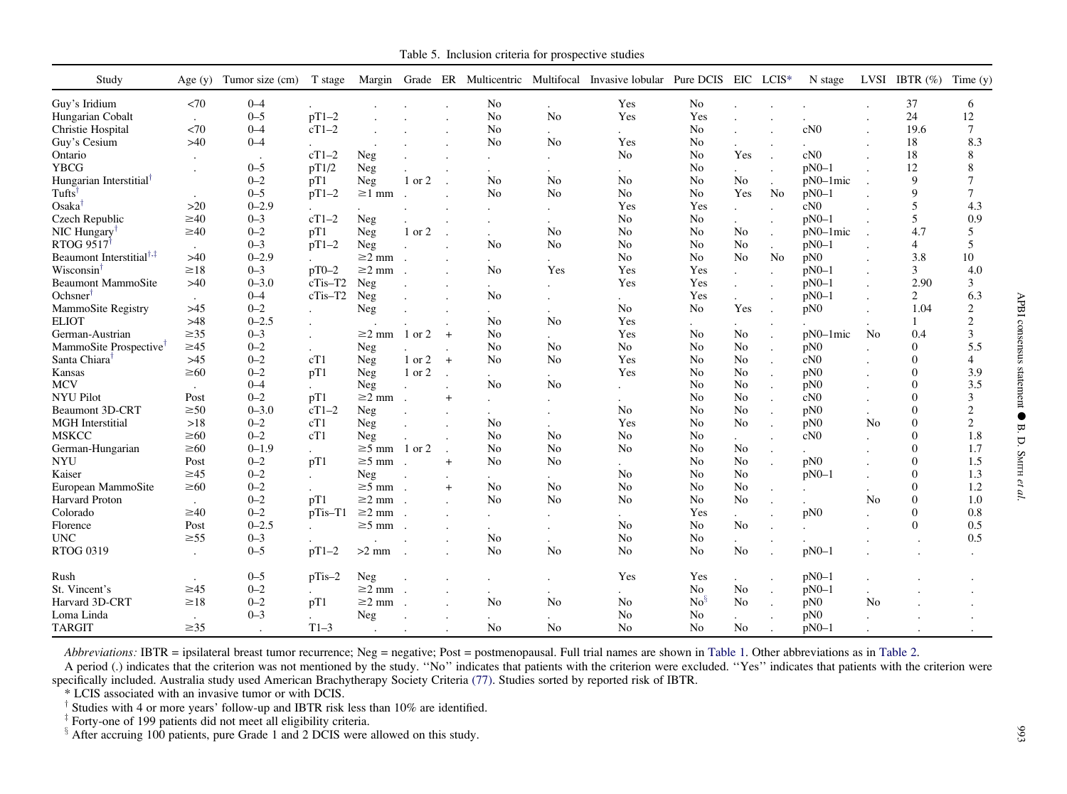Table 5. Inclusion criteria for prospective studies

<span id="page-6-0"></span>

| Study                                | Age $(y)$ | Tumor size (cm) | T stage      |                    |        |         |                |                | Margin Grade ER Multicentric Multifocal Invasive lobular Pure DCIS EIC LCIS* |                |                      |                      | N stage     |                | LVSI IBTR $(\%)$ | Time $(y)$      |
|--------------------------------------|-----------|-----------------|--------------|--------------------|--------|---------|----------------|----------------|------------------------------------------------------------------------------|----------------|----------------------|----------------------|-------------|----------------|------------------|-----------------|
| Guy's Iridium                        | <70       | $0 - 4$         |              |                    |        |         | No             |                | Yes                                                                          | No             |                      |                      |             |                | 37               | 6               |
| Hungarian Cobalt                     | $\cdot$   | $0 - 5$         | $pT1-2$      |                    |        |         | N <sub>o</sub> | No             | Yes                                                                          | Yes            |                      |                      |             |                | 24               | 12              |
| Christie Hospital                    | <70       | $0 - 4$         | $cT1-2$      |                    |        |         | No             | $\mathbf{r}$   | $\ddot{\phantom{0}}$                                                         | No             |                      |                      | cN0         |                | 19.6             | 7               |
| Guy's Cesium                         | $>40$     | $0 - 4$         |              |                    |        |         | N <sub>o</sub> | N <sub>o</sub> | Yes                                                                          | N <sub>o</sub> |                      |                      |             |                | 18               | 8.3             |
| Ontario                              |           |                 | $cT1-2$      | Neg                |        |         |                |                | No                                                                           | No             | Yes                  |                      | cN0         |                | 18               | 8               |
| <b>YBCG</b>                          |           | $0 - 5$         | pT1/2        | Neg                |        |         |                |                | $\ddot{\phantom{0}}$                                                         | No             |                      |                      | $pN0-1$     |                | 12               | 8               |
| Hungarian Interstitial <sup>†</sup>  |           | $0 - 2$         | pT1          | Neg                | 1 or 2 |         | N <sub>0</sub> | No             | N <sub>o</sub>                                                               | N <sub>o</sub> | No                   | $\ddot{\phantom{a}}$ | $pN0-1$ mic |                | 9                | 7               |
| Tufts <sup>t</sup>                   | $\cdot$   | $0 - 5$         | $pT1-2$      | $\geq$ 1 mm        |        |         | N <sub>o</sub> | No             | N <sub>o</sub>                                                               | N <sub>0</sub> | Yes                  | No                   | $pN0-1$     |                | 9                | $7\phantom{.0}$ |
| Osaka <sup>†</sup>                   | $>20$     | $0 - 2.9$       |              |                    |        |         |                |                | Yes                                                                          | Yes            |                      |                      | cN0         |                | 5                | 4.3             |
| Czech Republic                       | $\geq 40$ | $0 - 3$         | $cT1-2$      | Neg                |        |         |                |                | N <sub>o</sub>                                                               | N <sub>o</sub> |                      |                      | $pN0-1$     |                | 5                | 0.9             |
| NIC Hungary <sup>†</sup>             | $\geq 40$ | $0 - 2$         | pT1          | Neg                | 1 or 2 |         |                | No             | N <sub>o</sub>                                                               | No             | No                   | $\ddot{\phantom{a}}$ | pN0-1mic    |                | 4.7              | 5               |
| RTOG 9517                            | $\cdot$   | $0 - 3$         | $pT1-2$      | Neg                |        |         | No             | No             | No                                                                           | No             | No                   | $\mathbf{r}$         | $pN0-1$     |                | 4                | 5               |
| Beaumont Interstitial <sup>†,‡</sup> | $>40$     | $0 - 2.9$       |              | $\geq$ 2 mm.       |        |         |                |                | N <sub>o</sub>                                                               | N <sub>o</sub> | N <sub>o</sub>       | N <sub>o</sub>       | pN0         |                | 3.8              | 10              |
| Wisconsin                            | $\geq 18$ | $0 - 3$         | $pT0-2$      | $\geq$ 2 mm.       |        |         | N <sub>o</sub> | Yes            | Yes                                                                          | Yes            | $\ddot{\phantom{a}}$ | $\mathbf{r}$         | $pN0-1$     |                | 3                | 4.0             |
| Beaumont MammoSite                   | $>40$     | $0 - 3.0$       | cTis-T2      | Neg                |        |         |                |                | Yes                                                                          | Yes            |                      |                      | $pN0-1$     |                | 2.90             | 3               |
| Ochsner <sup>1</sup>                 |           | $0 - 4$         | $cTis-T2$    | Neg                |        |         | No             |                | $\sim$                                                                       | Yes            |                      |                      | $pN0-1$     |                | $\overline{2}$   | 6.3             |
| MammoSite Registry                   | $>45$     | $0 - 2$         |              | Neg                |        |         |                |                | No                                                                           | No             | Yes                  |                      | pN0         |                | 1.04             | $\overline{2}$  |
| <b>ELIOT</b>                         | $>48$     | $0 - 2.5$       |              |                    |        |         | No             | No             | Yes                                                                          |                |                      |                      |             |                | 1                | 2               |
| German-Austrian                      | $\geq 35$ | $0 - 3$         | $\mathbf{r}$ | $\geq$ 2 mm 1 or 2 |        | $+$     | N <sub>o</sub> |                | Yes                                                                          | N <sub>o</sub> | N <sub>0</sub>       |                      | $pN0-1$ mic | N <sub>0</sub> | 0.4              | 3               |
| MammoSite Prospective <sup>†</sup>   | $\geq 45$ | $0 - 2$         |              | Neg                |        |         | N <sub>o</sub> | No             | No                                                                           | N <sub>0</sub> | N <sub>0</sub>       |                      | pN0         |                | $\Omega$         | 5.5             |
| Santa Chiara <sup>†</sup>            | $>45$     | $0 - 2$         | cT1          | Neg                | 1 or 2 | $+$     | N <sub>0</sub> | N <sub>0</sub> | Yes                                                                          | No             | No                   |                      | cN0         |                | $\Omega$         | $\overline{4}$  |
| Kansas                               | $\geq 60$ | $0 - 2$         | pT1          | Neg                | 1 or 2 | $\cdot$ |                |                | Yes                                                                          | No             | N <sub>o</sub>       | $\overline{a}$       | pN0         |                | $\mathbf{0}$     | 3.9             |
| <b>MCV</b>                           | $\cdot$   | $0 - 4$         |              | Neg                |        |         | No             | No             |                                                                              | No             | N <sub>o</sub>       | $\cdot$              | pN0         |                | $\theta$         | 3.5             |
| <b>NYU Pilot</b>                     | Post      | $0 - 2$         | pT1          | $\geq$ 2 mm.       |        | $^{+}$  |                |                |                                                                              | No             | No                   |                      | cN0         |                | $\Omega$         | 3               |
| <b>Beaumont 3D-CRT</b>               | $\geq 50$ | $0 - 3.0$       | $cT1-2$      | Neg                |        |         |                |                | No.                                                                          | No             | No                   |                      | pN0         |                | $\Omega$         | $\overline{2}$  |
| <b>MGH</b> Interstitial              | >18       | $0 - 2$         | cT1          | Neg                |        |         | N <sub>o</sub> |                | Yes                                                                          | N <sub>o</sub> | N <sub>o</sub>       |                      | pN0         | No             | $\Omega$         | 2               |
| <b>MSKCC</b>                         | $\geq 60$ | $0 - 2$         | cT1          | Neg                |        |         | No             | N <sub>0</sub> | No                                                                           | No             |                      |                      | cN0         |                | $\Omega$         | 1.8             |
| German-Hungarian                     | $\geq 60$ | $0 - 1.9$       |              | $\geq$ 5 mm        | 1 or 2 |         | No             | No             | N <sub>o</sub>                                                               | No             | No                   |                      |             |                | $\Omega$         | 1.7             |
| <b>NYU</b>                           | Post      | $0 - 2$         | pT1          | $\geq$ 5 mm .      |        | $+$     | No             | N <sub>o</sub> |                                                                              | N <sub>o</sub> | No                   |                      | pN0         |                | $\Omega$         | 1.5             |
| Kaiser                               | $\geq 45$ | $0 - 2$         |              | Neg                |        |         |                |                | $\ddot{\phantom{0}}$<br>No                                                   | No             | No                   |                      | $pN0-1$     |                | $\Omega$         | 1.3             |
| European MammoSite                   | $\geq 60$ | $0 - 2$         |              | $\geq$ 5 mm .      |        | $+$     | N <sub>0</sub> | No             | N <sub>o</sub>                                                               | No             | No                   |                      |             |                | $\Omega$         | 1.2             |
| Harvard Proton                       | $\sim$    | $0 - 2$         | pT1          | $\geq$ 2 mm.       |        |         | N <sub>0</sub> | N <sub>o</sub> | N <sub>o</sub>                                                               | N <sub>o</sub> | N <sub>o</sub>       |                      |             | N <sub>0</sub> | $\Omega$         | 1.0             |
| Colorado                             | $\geq 40$ | $0 - 2$         | $pTis-T1$    | $\geq$ 2 mm        |        |         |                |                |                                                                              | Yes            |                      |                      | pN0         |                | $\Omega$         | 0.8             |
| Florence                             | Post      | $0 - 2.5$       |              | $\geq 5$ mm        |        |         |                |                | $\ddot{\phantom{0}}$<br>No                                                   | No             | $\blacksquare$<br>No |                      |             |                | $\mathbf{0}$     | 0.5             |
| UNC                                  | $\geq 55$ | $0 - 3$         |              |                    |        |         | No             |                | N <sub>o</sub>                                                               | N <sub>o</sub> |                      |                      |             |                |                  | 0.5             |
| <b>RTOG 0319</b>                     |           | $0 - 5$         | $pT1-2$      | $>2$ mm.           |        |         | N <sub>o</sub> | N <sub>o</sub> | N <sub>o</sub>                                                               | N <sub>0</sub> | No                   |                      | $pN0-1$     |                |                  |                 |
|                                      | $\bullet$ |                 |              |                    |        |         |                |                |                                                                              |                |                      |                      |             |                |                  |                 |
| Rush                                 |           | $0 - 5$         | $pTis-2$     | Neg                |        |         |                |                | Yes                                                                          | Yes            |                      |                      | $pN0-1$     |                |                  |                 |
| St. Vincent's                        | $\geq 45$ | $0 - 2$         |              | $\geq$ 2 mm.       |        |         |                |                |                                                                              | No             | No                   | $\ddot{\phantom{0}}$ | $pN0-1$     |                |                  |                 |
| Harvard 3D-CRT                       | $\geq 18$ | $0 - 2$         | pT1          | $\geq$ 2 mm        |        |         | $\rm No$       | No             | No                                                                           | $No^{\S}$      | N <sub>o</sub>       | $\cdot$              | pN0         | No             |                  |                 |
| Loma Linda                           |           | $0 - 3$         |              | Neg                |        |         |                |                | No                                                                           | No             |                      |                      | pN0         |                |                  |                 |
| <b>TARGIT</b>                        | $\geq 35$ |                 | $T1-3$       |                    |        |         | N <sub>o</sub> | No             | N <sub>o</sub>                                                               | N <sub>o</sub> | N <sub>0</sub>       |                      | $pN0-1$     |                |                  |                 |

Abbreviations: IBTR = ipsilateral breast tumor recurrence; Neg = negative; Post = postmenopausal. Full trial names are shown in [Table](#page-4-0) 1. Other abbreviations as in Table 2.

A period (.) indicates that the criterion was not mentioned by the study. ''No'' indicates that patients with the criterion were excluded. ''Yes'' indicates that patients with the criterion were specifically included. Australia study used American Brachytherapy Society Criteria [\(77\)](#page-14-0). Studies sorted by reported risk of IBTR.

\* LCIS associated with an invasive tumor or with DCIS.

<sup>†</sup> Studies with 4 or more years' follow-up and IBTR risk less than 10% are identified.<br><sup>‡</sup> Forty-one of 199 patients did not meet all eligibility criteria.<br><sup>§</sup> After accruing 100 patients, pure Grade 1 and 2 DCIS were al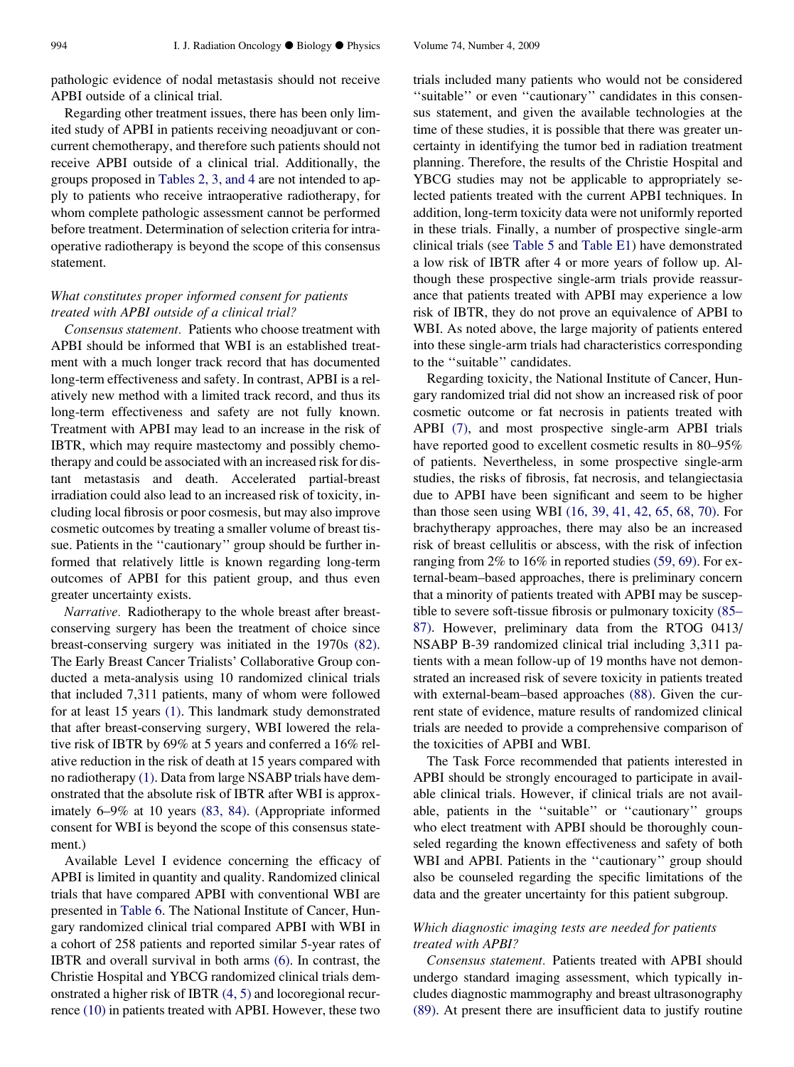pathologic evidence of nodal metastasis should not receive APBI outside of a clinical trial.

Regarding other treatment issues, there has been only limited study of APBI in patients receiving neoadjuvant or concurrent chemotherapy, and therefore such patients should not receive APBI outside of a clinical trial. Additionally, the groups proposed in [Tables 2, 3, and 4](#page-4-0) are not intended to apply to patients who receive intraoperative radiotherapy, for whom complete pathologic assessment cannot be performed before treatment. Determination of selection criteria for intraoperative radiotherapy is beyond the scope of this consensus statement.

### What constitutes proper informed consent for patients treated with APBI outside of a clinical trial?

Consensus statement. Patients who choose treatment with APBI should be informed that WBI is an established treatment with a much longer track record that has documented long-term effectiveness and safety. In contrast, APBI is a relatively new method with a limited track record, and thus its long-term effectiveness and safety are not fully known. Treatment with APBI may lead to an increase in the risk of IBTR, which may require mastectomy and possibly chemotherapy and could be associated with an increased risk for distant metastasis and death. Accelerated partial-breast irradiation could also lead to an increased risk of toxicity, including local fibrosis or poor cosmesis, but may also improve cosmetic outcomes by treating a smaller volume of breast tissue. Patients in the ''cautionary'' group should be further informed that relatively little is known regarding long-term outcomes of APBI for this patient group, and thus even greater uncertainty exists.

Narrative. Radiotherapy to the whole breast after breastconserving surgery has been the treatment of choice since breast-conserving surgery was initiated in the 1970s [\(82\).](#page-14-0) The Early Breast Cancer Trialists' Collaborative Group conducted a meta-analysis using 10 randomized clinical trials that included 7,311 patients, many of whom were followed for at least 15 years [\(1\)](#page-11-0). This landmark study demonstrated that after breast-conserving surgery, WBI lowered the relative risk of IBTR by 69% at 5 years and conferred a 16% relative reduction in the risk of death at 15 years compared with no radiotherapy [\(1\)](#page-11-0). Data from large NSABP trials have demonstrated that the absolute risk of IBTR after WBI is approximately 6–9% at 10 years [\(83, 84\).](#page-14-0) (Appropriate informed consent for WBI is beyond the scope of this consensus statement.)

Available Level I evidence concerning the efficacy of APBI is limited in quantity and quality. Randomized clinical trials that have compared APBI with conventional WBI are presented in [Table 6.](#page-8-0) The National Institute of Cancer, Hungary randomized clinical trial compared APBI with WBI in a cohort of 258 patients and reported similar 5-year rates of IBTR and overall survival in both arms [\(6\)](#page-12-0). In contrast, the Christie Hospital and YBCG randomized clinical trials demonstrated a higher risk of IBTR [\(4, 5\)](#page-12-0) and locoregional recurrence [\(10\)](#page-12-0) in patients treated with APBI. However, these two

trials included many patients who would not be considered ''suitable'' or even ''cautionary'' candidates in this consensus statement, and given the available technologies at the time of these studies, it is possible that there was greater uncertainty in identifying the tumor bed in radiation treatment planning. Therefore, the results of the Christie Hospital and YBCG studies may not be applicable to appropriately selected patients treated with the current APBI techniques. In addition, long-term toxicity data were not uniformly reported in these trials. Finally, a number of prospective single-arm clinical trials (see [Table 5](#page-6-0) and Table E1) have demonstrated a low risk of IBTR after 4 or more years of follow up. Although these prospective single-arm trials provide reassurance that patients treated with APBI may experience a low risk of IBTR, they do not prove an equivalence of APBI to WBI. As noted above, the large majority of patients entered into these single-arm trials had characteristics corresponding to the ''suitable'' candidates.

Regarding toxicity, the National Institute of Cancer, Hungary randomized trial did not show an increased risk of poor cosmetic outcome or fat necrosis in patients treated with APBI [\(7\),](#page-12-0) and most prospective single-arm APBI trials have reported good to excellent cosmetic results in 80–95% of patients. Nevertheless, in some prospective single-arm studies, the risks of fibrosis, fat necrosis, and telangiectasia due to APBI have been significant and seem to be higher than those seen using WBI [\(16, 39, 41, 42, 65, 68, 70\).](#page-12-0) For brachytherapy approaches, there may also be an increased risk of breast cellulitis or abscess, with the risk of infection ranging from 2% to 16% in reported studies [\(59, 69\).](#page-13-0) For external-beam–based approaches, there is preliminary concern that a minority of patients treated with APBI may be susceptible to severe soft-tissue fibrosis or pulmonary toxicity [\(85–](#page-14-0) [87\)](#page-14-0). However, preliminary data from the RTOG 0413/ NSABP B-39 randomized clinical trial including 3,311 patients with a mean follow-up of 19 months have not demonstrated an increased risk of severe toxicity in patients treated with external-beam–based approaches [\(88\)](#page-14-0). Given the current state of evidence, mature results of randomized clinical trials are needed to provide a comprehensive comparison of the toxicities of APBI and WBI.

The Task Force recommended that patients interested in APBI should be strongly encouraged to participate in available clinical trials. However, if clinical trials are not available, patients in the ''suitable'' or ''cautionary'' groups who elect treatment with APBI should be thoroughly counseled regarding the known effectiveness and safety of both WBI and APBI. Patients in the ''cautionary'' group should also be counseled regarding the specific limitations of the data and the greater uncertainty for this patient subgroup.

# Which diagnostic imaging tests are needed for patients treated with APBI?

Consensus statement. Patients treated with APBI should undergo standard imaging assessment, which typically includes diagnostic mammography and breast ultrasonography [\(89\)](#page-14-0). At present there are insufficient data to justify routine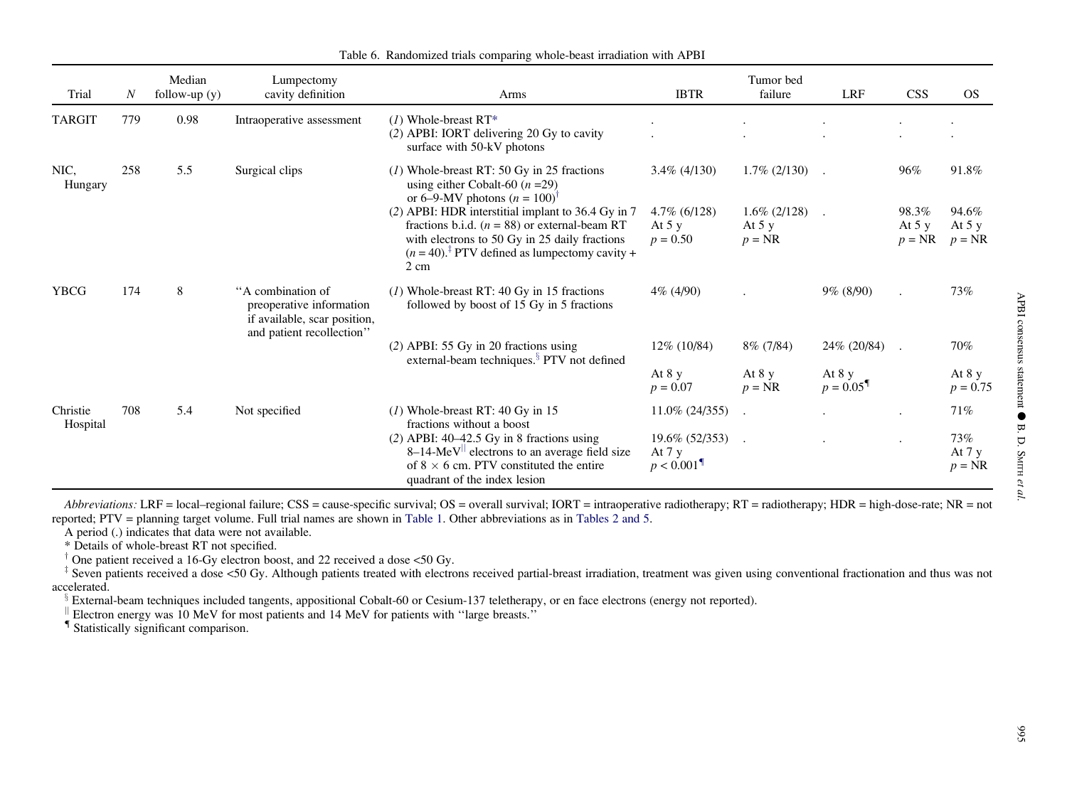<span id="page-8-0"></span>

| Trial                | $\boldsymbol{N}$ | Median<br>follow-up $(y)$ | Lumpectomy<br>cavity definition                                                                            | Arms                                                                                                                                                                                                                            | <b>IBTR</b>                                              | Tumor bed<br>failure                   | <b>LRF</b>                         | <b>CSS</b>                   | <b>OS</b>                    |
|----------------------|------------------|---------------------------|------------------------------------------------------------------------------------------------------------|---------------------------------------------------------------------------------------------------------------------------------------------------------------------------------------------------------------------------------|----------------------------------------------------------|----------------------------------------|------------------------------------|------------------------------|------------------------------|
| <b>TARGIT</b>        | 779              | 0.98                      | Intraoperative assessment                                                                                  | $(1)$ Whole-breast RT*<br>(2) APBI: IORT delivering 20 Gy to cavity<br>surface with 50-kV photons                                                                                                                               |                                                          |                                        |                                    |                              |                              |
| NIC,<br>Hungary      | 258              | 5.5                       | Surgical clips                                                                                             | $(1)$ Whole-breast RT: 50 Gy in 25 fractions<br>using either Cobalt-60 ( $n = 29$ )<br>or 6–9-MV photons $(n = 100)^{\dagger}$                                                                                                  | $3.4\%$ (4/130)                                          | $1.7\%$ (2/130)                        |                                    | 96%                          | 91.8%                        |
|                      |                  |                           |                                                                                                            | (2) APBI: HDR interstitial implant to 36.4 Gy in 7<br>fractions b.i.d. ( $n = 88$ ) or external-beam RT<br>with electrons to 50 Gy in 25 daily fractions<br>$(n = 40).$ <sup>‡</sup> PTV defined as lumpectomy cavity +<br>2 cm | $4.7\%$ (6/128)<br>At $5y$<br>$p = 0.50$                 | $1.6\%$ (2/128)<br>At $5y$<br>$p = NR$ | $\cdot$                            | 98.3%<br>At $5y$<br>$p = NR$ | 94.6%<br>At $5y$<br>$p = NR$ |
| <b>YBCG</b>          | 174              | 8                         | "A combination of<br>preoperative information<br>if available, scar position,<br>and patient recollection" | $(1)$ Whole-breast RT: 40 Gy in 15 fractions<br>followed by boost of 15 Gy in 5 fractions                                                                                                                                       | $4\%$ (4/90)                                             |                                        | $9\%$ (8/90)                       |                              | 73%                          |
|                      |                  |                           |                                                                                                            | $(2)$ APBI: 55 Gy in 20 fractions using<br>external-beam techniques. <sup>§</sup> PTV not defined                                                                                                                               | $12\%$ (10/84)                                           | $8\%$ (7/84)                           | 24% (20/84)                        | $\ddot{\phantom{a}}$         | 70%                          |
|                      |                  |                           |                                                                                                            |                                                                                                                                                                                                                                 | At $8y$<br>$p = 0.07$                                    | At $8y$<br>$p = NR$                    | At $8y$<br>$p = 0.05$ <sup>9</sup> |                              | At $8y$<br>$p = 0.75$        |
| Christie<br>Hospital | 708              | 5.4                       | Not specified                                                                                              | $(1)$ Whole-breast RT: 40 Gy in 15<br>fractions without a boost                                                                                                                                                                 | $11.0\%$ (24/355)                                        |                                        |                                    | $\bullet$                    | 71%                          |
|                      |                  |                           |                                                                                                            | $(2)$ APBI: 40-42.5 Gy in 8 fractions using<br>$8-14$ -MeV <sup>II</sup> electrons to an average field size<br>of $8 \times 6$ cm. PTV constituted the entire<br>quadrant of the index lesion                                   | $19.6\%$ (52/353)<br>At $7y$<br>$p < 0.001$ <sup>T</sup> |                                        |                                    | $\bullet$                    | 73%<br>At $7y$<br>$p = NR$   |

Table 6. Randomized trials comparing whole-beast irradiation with APBI

Abbreviations: LRF = local–regional failure; CSS = cause-specific survival; OS = overall survival; IORT = intraoperative radiotherapy; RT = radiotherapy; HDR = high-dose-rate; NR = not reported; PTV <sup>=</sup> planning target volume. Full trial names are shown in [Table](#page-2-0) 1. Other abbreviations as in [Tables](#page-4-0) 2 and 5.

A period (.) indicates that data were not available.

\* Details of whole-breast RT not specified.

<sup>†</sup> One patient received a 16-Gy electron boost, and 22 received a dose <50 Gy.<br><sup>‡</sup> Seven patients received a dose <50 Gy. Although patients treated with electrons received partial-breast irradiation, treatment was given accelerated.

External-beam techniques included tangents, appositional Cobalt-60 or Cesium-137 teletherapy, or en face electrons (energy not reported).<br>  $\parallel$  Electron energy was 10 MeV for most patients and 14 MeV for patients with "la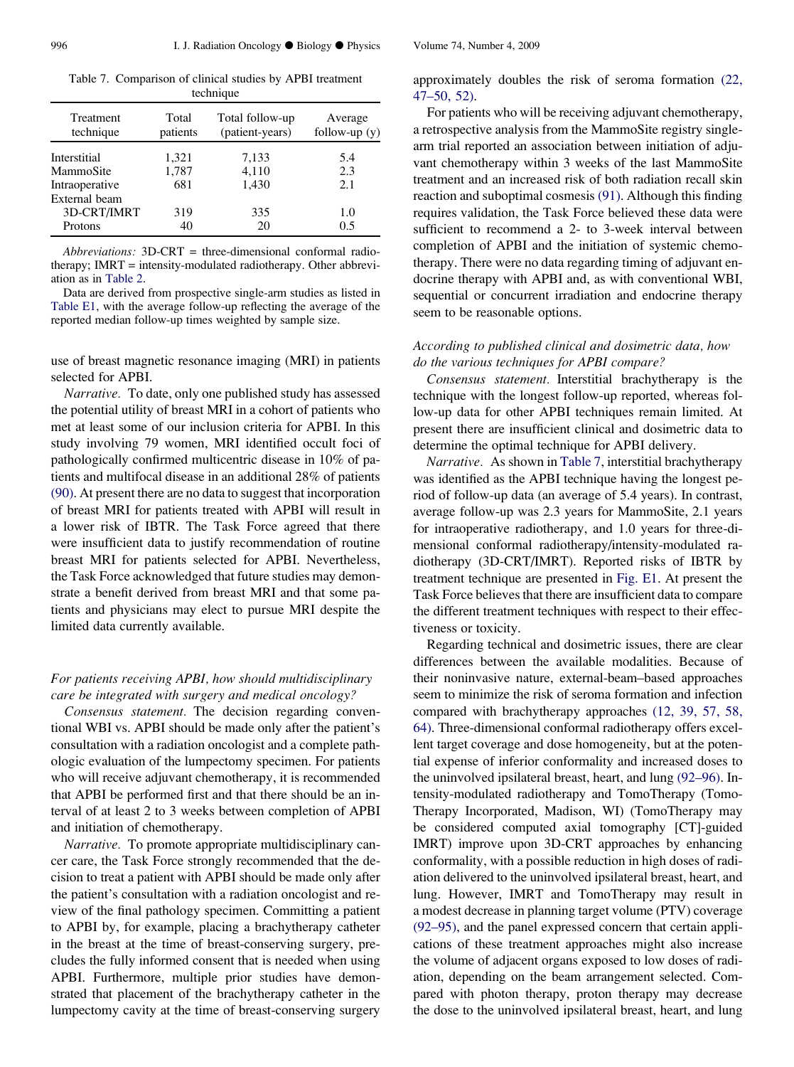Table 7. Comparison of clinical studies by APBI treatment technique

| Treatment<br>technique | Total<br>patients | Total follow-up<br>(patient-years) | Average<br>follow-up $(y)$ |
|------------------------|-------------------|------------------------------------|----------------------------|
| Interstitial           | 1,321             | 7,133                              | 5.4                        |
| MammoSite              | 1,787             | 4,110                              | 2.3                        |
| Intraoperative         | 681               | 1,430                              | 2.1                        |
| External beam          |                   |                                    |                            |
| 3D-CRT/IMRT            | 319               | 335                                | 1.0                        |
| Protons                | 40                | 20                                 | 0.5                        |

Abbreviations: 3D-CRT = three-dimensional conformal radiotherapy; IMRT = intensity-modulated radiotherapy. Other abbreviation as in [Table 2.](#page-4-0)

Data are derived from prospective single-arm studies as listed in Table E1, with the average follow-up reflecting the average of the reported median follow-up times weighted by sample size.

use of breast magnetic resonance imaging (MRI) in patients selected for APBI.

Narrative. To date, only one published study has assessed the potential utility of breast MRI in a cohort of patients who met at least some of our inclusion criteria for APBI. In this study involving 79 women, MRI identified occult foci of pathologically confirmed multicentric disease in 10% of patients and multifocal disease in an additional 28% of patients [\(90\)](#page-14-0). At present there are no data to suggest that incorporation of breast MRI for patients treated with APBI will result in a lower risk of IBTR. The Task Force agreed that there were insufficient data to justify recommendation of routine breast MRI for patients selected for APBI. Nevertheless, the Task Force acknowledged that future studies may demonstrate a benefit derived from breast MRI and that some patients and physicians may elect to pursue MRI despite the limited data currently available.

# For patients receiving APBI, how should multidisciplinary care be integrated with surgery and medical oncology?

Consensus statement. The decision regarding conventional WBI vs. APBI should be made only after the patient's consultation with a radiation oncologist and a complete pathologic evaluation of the lumpectomy specimen. For patients who will receive adjuvant chemotherapy, it is recommended that APBI be performed first and that there should be an interval of at least 2 to 3 weeks between completion of APBI and initiation of chemotherapy.

Narrative. To promote appropriate multidisciplinary cancer care, the Task Force strongly recommended that the decision to treat a patient with APBI should be made only after the patient's consultation with a radiation oncologist and review of the final pathology specimen. Committing a patient to APBI by, for example, placing a brachytherapy catheter in the breast at the time of breast-conserving surgery, precludes the fully informed consent that is needed when using APBI. Furthermore, multiple prior studies have demonstrated that placement of the brachytherapy catheter in the lumpectomy cavity at the time of breast-conserving surgery approximately doubles the risk of seroma formation [\(22,](#page-12-0) [47–50, 52\).](#page-12-0)

For patients who will be receiving adjuvant chemotherapy, a retrospective analysis from the MammoSite registry singlearm trial reported an association between initiation of adjuvant chemotherapy within 3 weeks of the last MammoSite treatment and an increased risk of both radiation recall skin reaction and suboptimal cosmesis [\(91\)](#page-14-0). Although this finding requires validation, the Task Force believed these data were sufficient to recommend a 2- to 3-week interval between completion of APBI and the initiation of systemic chemotherapy. There were no data regarding timing of adjuvant endocrine therapy with APBI and, as with conventional WBI, sequential or concurrent irradiation and endocrine therapy seem to be reasonable options.

#### According to published clinical and dosimetric data, how do the various techniques for APBI compare?

Consensus statement. Interstitial brachytherapy is the technique with the longest follow-up reported, whereas follow-up data for other APBI techniques remain limited. At present there are insufficient clinical and dosimetric data to determine the optimal technique for APBI delivery.

Narrative. As shown in Table 7, interstitial brachytherapy was identified as the APBI technique having the longest period of follow-up data (an average of 5.4 years). In contrast, average follow-up was 2.3 years for MammoSite, 2.1 years for intraoperative radiotherapy, and 1.0 years for three-dimensional conformal radiotherapy/intensity-modulated radiotherapy (3D-CRT/IMRT). Reported risks of IBTR by treatment technique are presented in Fig. E1. At present the Task Force believes that there are insufficient data to compare the different treatment techniques with respect to their effectiveness or toxicity.

Regarding technical and dosimetric issues, there are clear differences between the available modalities. Because of their noninvasive nature, external-beam–based approaches seem to minimize the risk of seroma formation and infection compared with brachytherapy approaches [\(12, 39, 57, 58,](#page-12-0) [64\)](#page-12-0). Three-dimensional conformal radiotherapy offers excellent target coverage and dose homogeneity, but at the potential expense of inferior conformality and increased doses to the uninvolved ipsilateral breast, heart, and lung [\(92–96\).](#page-14-0) Intensity-modulated radiotherapy and TomoTherapy (Tomo-Therapy Incorporated, Madison, WI) (TomoTherapy may be considered computed axial tomography [CT]-guided IMRT) improve upon 3D-CRT approaches by enhancing conformality, with a possible reduction in high doses of radiation delivered to the uninvolved ipsilateral breast, heart, and lung. However, IMRT and TomoTherapy may result in a modest decrease in planning target volume (PTV) coverage [\(92–95\)](#page-14-0), and the panel expressed concern that certain applications of these treatment approaches might also increase the volume of adjacent organs exposed to low doses of radiation, depending on the beam arrangement selected. Compared with photon therapy, proton therapy may decrease the dose to the uninvolved ipsilateral breast, heart, and lung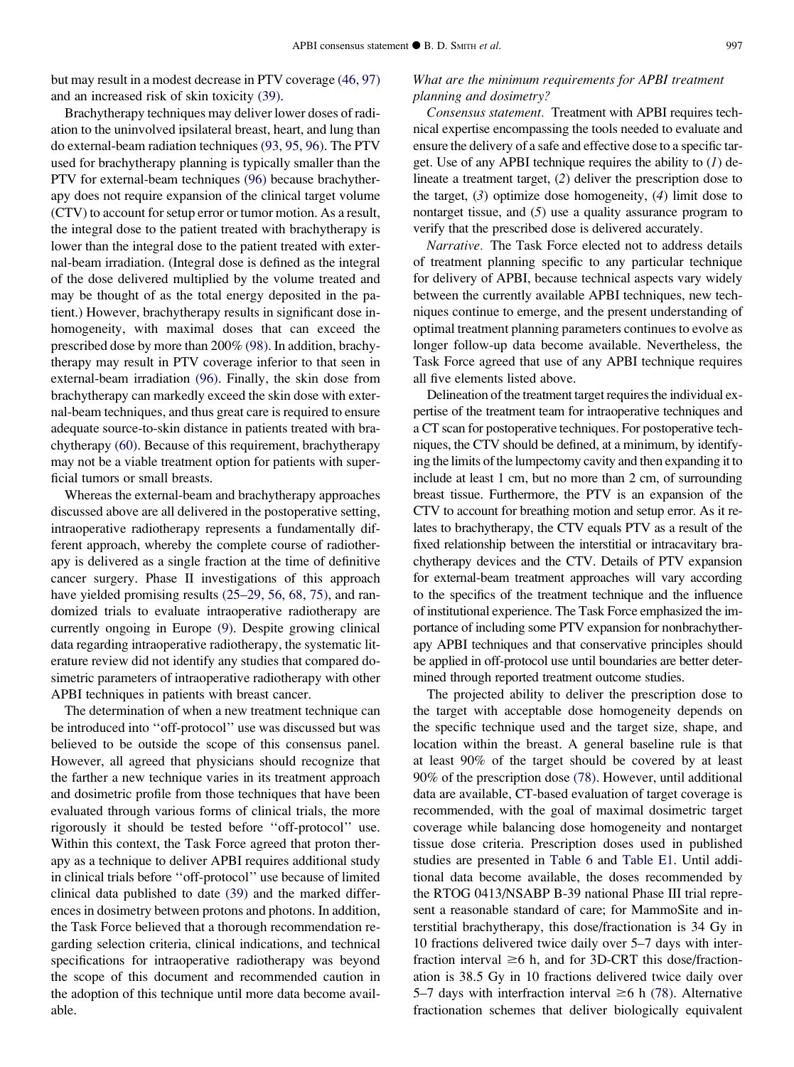but may result in a modest decrease in PTV coverage [\(46, 97\)](#page-13-0) and an increased risk of skin toxicity [\(39\).](#page-13-0)

Brachytherapy techniques may deliver lower doses of radiation to the uninvolved ipsilateral breast, heart, and lung than do external-beam radiation techniques [\(93, 95, 96\)](#page-14-0). The PTV used for brachytherapy planning is typically smaller than the PTV for external-beam techniques [\(96\)](#page-14-0) because brachytherapy does not require expansion of the clinical target volume (CTV) to account for setup error or tumor motion. As a result, the integral dose to the patient treated with brachytherapy is lower than the integral dose to the patient treated with external-beam irradiation. (Integral dose is defined as the integral of the dose delivered multiplied by the volume treated and may be thought of as the total energy deposited in the patient.) However, brachytherapy results in significant dose inhomogeneity, with maximal doses that can exceed the prescribed dose by more than 200% [\(98\).](#page-14-0) In addition, brachytherapy may result in PTV coverage inferior to that seen in external-beam irradiation [\(96\)](#page-14-0). Finally, the skin dose from brachytherapy can markedly exceed the skin dose with external-beam techniques, and thus great care is required to ensure adequate source-to-skin distance in patients treated with brachytherapy [\(60\).](#page-13-0) Because of this requirement, brachytherapy may not be a viable treatment option for patients with superficial tumors or small breasts.

Whereas the external-beam and brachytherapy approaches discussed above are all delivered in the postoperative setting, intraoperative radiotherapy represents a fundamentally different approach, whereby the complete course of radiotherapy is delivered as a single fraction at the time of definitive cancer surgery. Phase II investigations of this approach have yielded promising results [\(25–29, 56, 68, 75\)](#page-12-0), and randomized trials to evaluate intraoperative radiotherapy are currently ongoing in Europe [\(9\)](#page-12-0). Despite growing clinical data regarding intraoperative radiotherapy, the systematic literature review did not identify any studies that compared dosimetric parameters of intraoperative radiotherapy with other APBI techniques in patients with breast cancer.

The determination of when a new treatment technique can be introduced into ''off-protocol'' use was discussed but was believed to be outside the scope of this consensus panel. However, all agreed that physicians should recognize that the farther a new technique varies in its treatment approach and dosimetric profile from those techniques that have been evaluated through various forms of clinical trials, the more rigorously it should be tested before ''off-protocol'' use. Within this context, the Task Force agreed that proton therapy as a technique to deliver APBI requires additional study in clinical trials before ''off-protocol'' use because of limited clinical data published to date [\(39\)](#page-13-0) and the marked differences in dosimetry between protons and photons. In addition, the Task Force believed that a thorough recommendation regarding selection criteria, clinical indications, and technical specifications for intraoperative radiotherapy was beyond the scope of this document and recommended caution in the adoption of this technique until more data become available.

# What are the minimum requirements for APBI treatment planning and dosimetry?

Consensus statement. Treatment with APBI requires technical expertise encompassing the tools needed to evaluate and ensure the delivery of a safe and effective dose to a specific target. Use of any APBI technique requires the ability to  $(I)$  delineate a treatment target, (2) deliver the prescription dose to the target,  $(3)$  optimize dose homogeneity,  $(4)$  limit dose to nontarget tissue, and (5) use a quality assurance program to verify that the prescribed dose is delivered accurately.

Narrative. The Task Force elected not to address details of treatment planning specific to any particular technique for delivery of APBI, because technical aspects vary widely between the currently available APBI techniques, new techniques continue to emerge, and the present understanding of optimal treatment planning parameters continues to evolve as longer follow-up data become available. Nevertheless, the Task Force agreed that use of any APBI technique requires all five elements listed above.

Delineation of the treatment target requires the individual expertise of the treatment team for intraoperative techniques and a CT scan for postoperative techniques. For postoperative techniques, the CTV should be defined, at a minimum, by identifying the limits of the lumpectomy cavity and then expanding it to include at least 1 cm, but no more than 2 cm, of surrounding breast tissue. Furthermore, the PTV is an expansion of the CTV to account for breathing motion and setup error. As it relates to brachytherapy, the CTV equals PTV as a result of the fixed relationship between the interstitial or intracavitary brachytherapy devices and the CTV. Details of PTV expansion for external-beam treatment approaches will vary according to the specifics of the treatment technique and the influence of institutional experience. The Task Force emphasized the importance of including some PTV expansion for nonbrachytherapy APBI techniques and that conservative principles should be applied in off-protocol use until boundaries are better determined through reported treatment outcome studies.

The projected ability to deliver the prescription dose to the target with acceptable dose homogeneity depends on the specific technique used and the target size, shape, and location within the breast. A general baseline rule is that at least 90% of the target should be covered by at least 90% of the prescription dose [\(78\).](#page-14-0) However, until additional data are available, CT-based evaluation of target coverage is recommended, with the goal of maximal dosimetric target coverage while balancing dose homogeneity and nontarget tissue dose criteria. Prescription doses used in published studies are presented in [Table 6](#page-8-0) and Table E1. Until additional data become available, the doses recommended by the RTOG 0413/NSABP B-39 national Phase III trial represent a reasonable standard of care; for MammoSite and interstitial brachytherapy, this dose/fractionation is 34 Gy in 10 fractions delivered twice daily over 5–7 days with interfraction interval  $\geq 6$  h, and for 3D-CRT this dose/fractionation is 38.5 Gy in 10 fractions delivered twice daily over 5–7 days with interfraction interval  $\geq 6$  h [\(78\).](#page-14-0) Alternative fractionation schemes that deliver biologically equivalent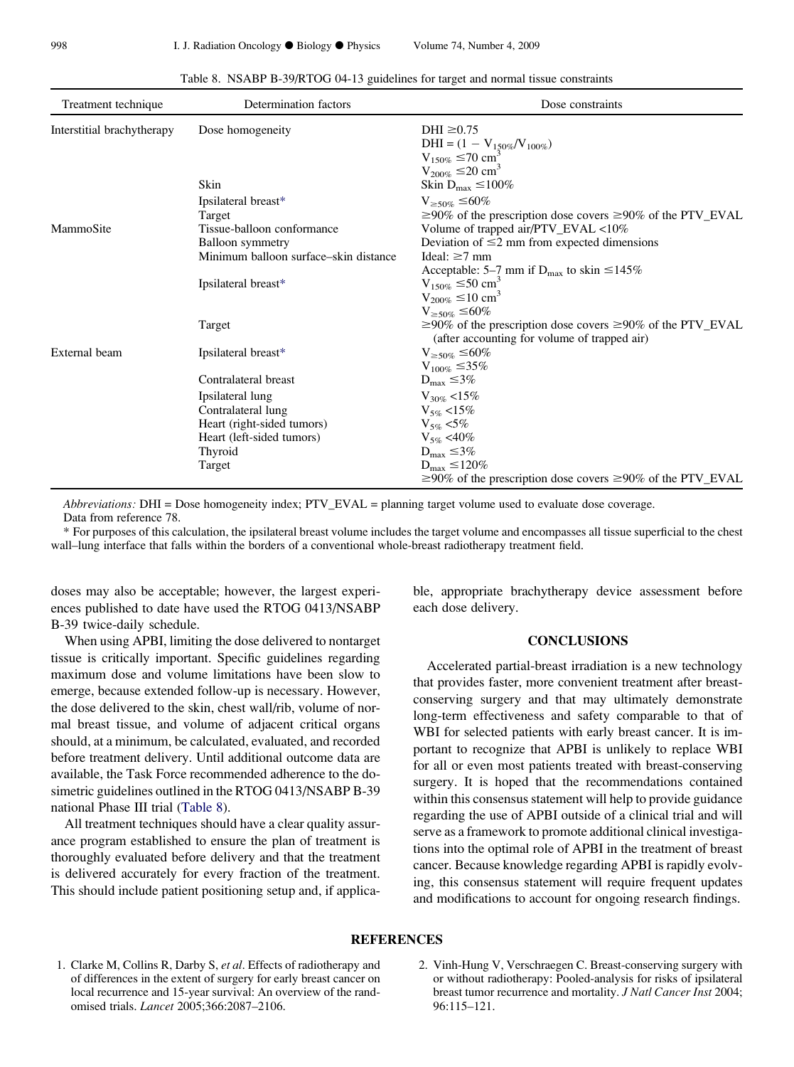<span id="page-11-0"></span>

| Treatment technique        | Determination factors                 | Dose constraints                                                                                                      |
|----------------------------|---------------------------------------|-----------------------------------------------------------------------------------------------------------------------|
| Interstitial brachytherapy | Dose homogeneity                      | DHI $\geq 0.75$                                                                                                       |
|                            |                                       | DHI = $(1 - V_{150\%}/V_{100\%})$<br>V <sub>150%</sub> $\leq$ 70 cm <sup>3</sup>                                      |
|                            |                                       |                                                                                                                       |
|                            | Skin                                  | $V_{200\%} \leq 20$ cm <sup>3</sup><br>Skin D <sub>max</sub> $\leq 100\%$                                             |
|                            |                                       |                                                                                                                       |
|                            | Ipsilateral breast*                   | $V_{\geq 50\%} \leq 60\%$                                                                                             |
| MammoSite                  | Target<br>Tissue-balloon conformance  | $\geq$ 90% of the prescription dose covers $\geq$ 90% of the PTV_EVAL<br>Volume of trapped air/PTV EVAL $<10\%$       |
|                            | <b>Balloon</b> symmetry               | Deviation of $\leq$ 2 mm from expected dimensions                                                                     |
|                            | Minimum balloon surface–skin distance | Ideal: $\geq 7$ mm                                                                                                    |
|                            |                                       | Acceptable: 5–7 mm if $D_{\text{max}}$ to skin $\leq$ 145%                                                            |
|                            | Ipsilateral breast*                   | $V_{150\%} \le 50$ cm <sup>3</sup>                                                                                    |
|                            |                                       | $V_{200\%} \le 10$ cm <sup>3</sup>                                                                                    |
|                            |                                       | $V_{\geq 50\%} \leq 60\%$                                                                                             |
|                            | Target                                | $\geq$ 90% of the prescription dose covers $\geq$ 90% of the PTV EVAL<br>(after accounting for volume of trapped air) |
| External beam              | Ipsilateral breast*                   | $V_{\geq 50\%} \leq 60\%$                                                                                             |
|                            |                                       | $V_{100\%} \leq 35\%$                                                                                                 |
|                            | Contralateral breast                  | $D_{\text{max}} \leq 3\%$                                                                                             |
|                            | Ipsilateral lung                      | $V_{30\%}$ <15%                                                                                                       |
|                            | Contralateral lung                    | $V_{5\%}$ <15%                                                                                                        |
|                            | Heart (right-sided tumors)            | $V_{5\%}$ <5%                                                                                                         |
|                            | Heart (left-sided tumors)             | $V_{5\%}$ <40%                                                                                                        |
|                            | Thyroid                               | $D_{max} \leq 3\%$                                                                                                    |
|                            | Target                                | $D_{\text{max}} \leq 120\%$                                                                                           |
|                            |                                       | $\geq$ 90% of the prescription dose covers $\geq$ 90% of the PTV_EVAL                                                 |

Table 8. NSABP B-39/RTOG 04-13 guidelines for target and normal tissue constraints

Abbreviations: DHI = Dose homogeneity index; PTV\_EVAL = planning target volume used to evaluate dose coverage.

Data from reference 78.

\* For purposes of this calculation, the ipsilateral breast volume includes the target volume and encompasses all tissue superficial to the chest wall–lung interface that falls within the borders of a conventional whole-breast radiotherapy treatment field.

doses may also be acceptable; however, the largest experiences published to date have used the RTOG 0413/NSABP B-39 twice-daily schedule.

When using APBI, limiting the dose delivered to nontarget tissue is critically important. Specific guidelines regarding maximum dose and volume limitations have been slow to emerge, because extended follow-up is necessary. However, the dose delivered to the skin, chest wall/rib, volume of normal breast tissue, and volume of adjacent critical organs should, at a minimum, be calculated, evaluated, and recorded before treatment delivery. Until additional outcome data are available, the Task Force recommended adherence to the dosimetric guidelines outlined in the RTOG 0413/NSABP B-39 national Phase III trial (Table 8).

All treatment techniques should have a clear quality assurance program established to ensure the plan of treatment is thoroughly evaluated before delivery and that the treatment is delivered accurately for every fraction of the treatment. This should include patient positioning setup and, if applicable, appropriate brachytherapy device assessment before each dose delivery.

#### **CONCLUSIONS**

Accelerated partial-breast irradiation is a new technology that provides faster, more convenient treatment after breastconserving surgery and that may ultimately demonstrate long-term effectiveness and safety comparable to that of WBI for selected patients with early breast cancer. It is important to recognize that APBI is unlikely to replace WBI for all or even most patients treated with breast-conserving surgery. It is hoped that the recommendations contained within this consensus statement will help to provide guidance regarding the use of APBI outside of a clinical trial and will serve as a framework to promote additional clinical investigations into the optimal role of APBI in the treatment of breast cancer. Because knowledge regarding APBI is rapidly evolving, this consensus statement will require frequent updates and modifications to account for ongoing research findings.

#### **REFERENCES**

- 1. Clarke M, Collins R, Darby S, et al. Effects of radiotherapy and of differences in the extent of surgery for early breast cancer on local recurrence and 15-year survival: An overview of the randomised trials. Lancet 2005;366:2087–2106.
- 2. Vinh-Hung V, Verschraegen C. Breast-conserving surgery with or without radiotherapy: Pooled-analysis for risks of ipsilateral breast tumor recurrence and mortality. J Natl Cancer Inst 2004; 96:115–121.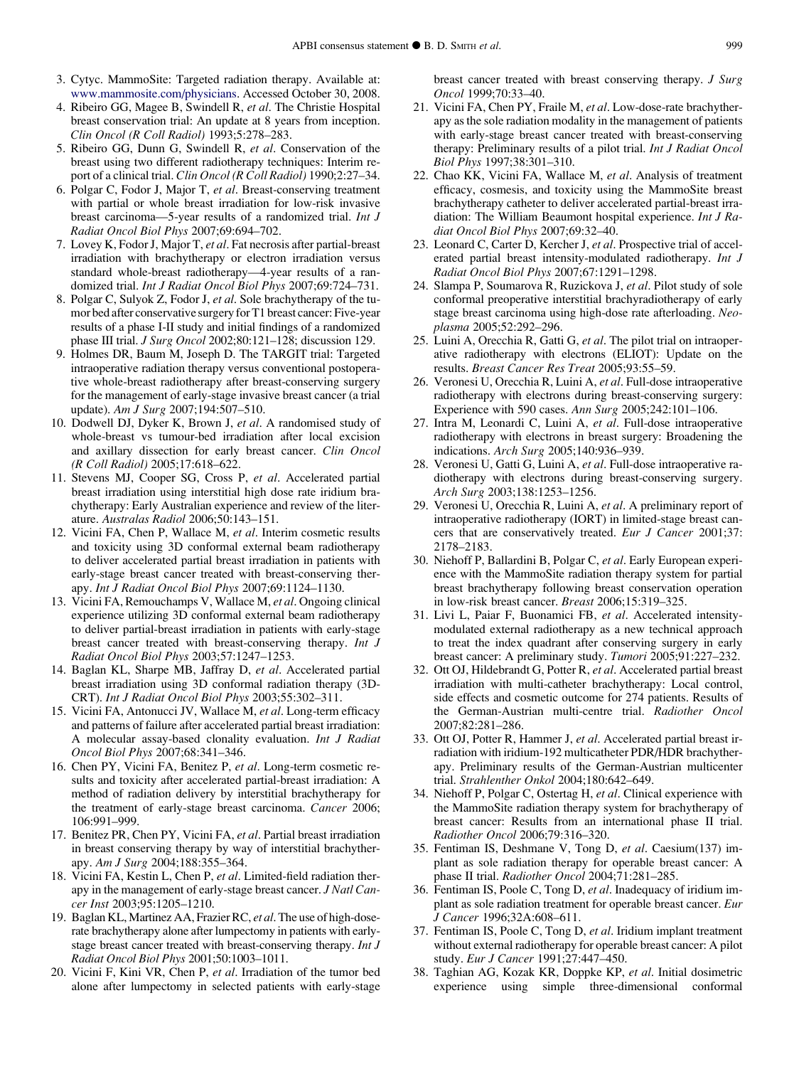- <span id="page-12-0"></span>3. Cytyc. MammoSite: Targeted radiation therapy. Available at: [www.mammosite.com/physicians.](http://www.mammosite.com/physicians) Accessed October 30, 2008.
- 4. Ribeiro GG, Magee B, Swindell R, et al. The Christie Hospital breast conservation trial: An update at 8 years from inception. Clin Oncol (R Coll Radiol) 1993;5:278–283.
- 5. Ribeiro GG, Dunn G, Swindell R, et al. Conservation of the breast using two different radiotherapy techniques: Interim report of a clinical trial. Clin Oncol (R Coll Radiol) 1990;2:27–34.
- 6. Polgar C, Fodor J, Major T, et al. Breast-conserving treatment with partial or whole breast irradiation for low-risk invasive breast carcinoma—5-year results of a randomized trial. Int J Radiat Oncol Biol Phys 2007;69:694–702.
- 7. Lovey K, Fodor J, Major T, et al. Fat necrosis after partial-breast irradiation with brachytherapy or electron irradiation versus standard whole-breast radiotherapy—4-year results of a randomized trial. Int J Radiat Oncol Biol Phys 2007;69:724–731.
- 8. Polgar C, Sulyok Z, Fodor J, et al. Sole brachytherapy of the tumor bed after conservative surgery for T1 breast cancer: Five-year results of a phase I-II study and initial findings of a randomized phase III trial. J Surg Oncol 2002;80:121–128; discussion 129.
- 9. Holmes DR, Baum M, Joseph D. The TARGIT trial: Targeted intraoperative radiation therapy versus conventional postoperative whole-breast radiotherapy after breast-conserving surgery for the management of early-stage invasive breast cancer (a trial update). Am J Surg 2007;194:507–510.
- 10. Dodwell DJ, Dyker K, Brown J, et al. A randomised study of whole-breast vs tumour-bed irradiation after local excision and axillary dissection for early breast cancer. Clin Oncol (R Coll Radiol) 2005;17:618–622.
- 11. Stevens MJ, Cooper SG, Cross P, et al. Accelerated partial breast irradiation using interstitial high dose rate iridium brachytherapy: Early Australian experience and review of the literature. Australas Radiol 2006;50:143–151.
- 12. Vicini FA, Chen P, Wallace M, et al. Interim cosmetic results and toxicity using 3D conformal external beam radiotherapy to deliver accelerated partial breast irradiation in patients with early-stage breast cancer treated with breast-conserving therapy. Int J Radiat Oncol Biol Phys 2007;69:1124–1130.
- 13. Vicini FA, Remouchamps V, Wallace M, et al. Ongoing clinical experience utilizing 3D conformal external beam radiotherapy to deliver partial-breast irradiation in patients with early-stage breast cancer treated with breast-conserving therapy. Int J Radiat Oncol Biol Phys 2003;57:1247–1253.
- 14. Baglan KL, Sharpe MB, Jaffray D, et al. Accelerated partial breast irradiation using 3D conformal radiation therapy (3D-CRT). Int J Radiat Oncol Biol Phys 2003;55:302–311.
- 15. Vicini FA, Antonucci JV, Wallace M, et al. Long-term efficacy and patterns of failure after accelerated partial breast irradiation: A molecular assay-based clonality evaluation. Int J Radiat Oncol Biol Phys 2007;68:341–346.
- 16. Chen PY, Vicini FA, Benitez P, et al. Long-term cosmetic results and toxicity after accelerated partial-breast irradiation: A method of radiation delivery by interstitial brachytherapy for the treatment of early-stage breast carcinoma. Cancer 2006; 106:991–999.
- 17. Benitez PR, Chen PY, Vicini FA, et al. Partial breast irradiation in breast conserving therapy by way of interstitial brachytherapy. Am J Surg 2004;188:355–364.
- 18. Vicini FA, Kestin L, Chen P, et al. Limited-field radiation therapy in the management of early-stage breast cancer. J Natl Cancer Inst 2003;95:1205–1210.
- 19. Baglan KL, Martinez AA, Frazier RC, et al. The use of high-doserate brachytherapy alone after lumpectomy in patients with earlystage breast cancer treated with breast-conserving therapy. Int J Radiat Oncol Biol Phys 2001;50:1003–1011.
- 20. Vicini F, Kini VR, Chen P, et al. Irradiation of the tumor bed alone after lumpectomy in selected patients with early-stage

breast cancer treated with breast conserving therapy. J Surg Oncol 1999;70:33–40.

- 21. Vicini FA, Chen PY, Fraile M, et al. Low-dose-rate brachytherapy as the sole radiation modality in the management of patients with early-stage breast cancer treated with breast-conserving therapy: Preliminary results of a pilot trial. Int J Radiat Oncol Biol Phys 1997;38:301–310.
- 22. Chao KK, Vicini FA, Wallace M, et al. Analysis of treatment efficacy, cosmesis, and toxicity using the MammoSite breast brachytherapy catheter to deliver accelerated partial-breast irradiation: The William Beaumont hospital experience. Int J Radiat Oncol Biol Phys 2007;69:32–40.
- 23. Leonard C, Carter D, Kercher J, et al. Prospective trial of accelerated partial breast intensity-modulated radiotherapy. Int J Radiat Oncol Biol Phys 2007;67:1291–1298.
- 24. Slampa P, Soumarova R, Ruzickova J, et al. Pilot study of sole conformal preoperative interstitial brachyradiotherapy of early stage breast carcinoma using high-dose rate afterloading. Neoplasma 2005;52:292–296.
- 25. Luini A, Orecchia R, Gatti G, et al. The pilot trial on intraoperative radiotherapy with electrons (ELIOT): Update on the results. Breast Cancer Res Treat 2005;93:55–59.
- 26. Veronesi U, Orecchia R, Luini A, et al. Full-dose intraoperative radiotherapy with electrons during breast-conserving surgery: Experience with 590 cases. Ann Surg 2005;242:101–106.
- 27. Intra M, Leonardi C, Luini A, et al. Full-dose intraoperative radiotherapy with electrons in breast surgery: Broadening the indications. Arch Surg 2005;140:936–939.
- 28. Veronesi U, Gatti G, Luini A, et al. Full-dose intraoperative radiotherapy with electrons during breast-conserving surgery. Arch Surg 2003;138:1253–1256.
- 29. Veronesi U, Orecchia R, Luini A, et al. A preliminary report of intraoperative radiotherapy (IORT) in limited-stage breast cancers that are conservatively treated. Eur J Cancer 2001;37: 2178–2183.
- 30. Niehoff P, Ballardini B, Polgar C, et al. Early European experience with the MammoSite radiation therapy system for partial breast brachytherapy following breast conservation operation in low-risk breast cancer. Breast 2006;15:319–325.
- 31. Livi L, Paiar F, Buonamici FB, et al. Accelerated intensitymodulated external radiotherapy as a new technical approach to treat the index quadrant after conserving surgery in early breast cancer: A preliminary study. Tumori 2005;91:227–232.
- 32. Ott OJ, Hildebrandt G, Potter R, et al. Accelerated partial breast irradiation with multi-catheter brachytherapy: Local control, side effects and cosmetic outcome for 274 patients. Results of the German-Austrian multi-centre trial. Radiother Oncol 2007;82:281–286.
- 33. Ott OJ, Potter R, Hammer J, et al. Accelerated partial breast irradiation with iridium-192 multicatheter PDR/HDR brachytherapy. Preliminary results of the German-Austrian multicenter trial. Strahlenther Onkol 2004;180:642–649.
- 34. Niehoff P, Polgar C, Ostertag H, et al. Clinical experience with the MammoSite radiation therapy system for brachytherapy of breast cancer: Results from an international phase II trial. Radiother Oncol 2006;79:316–320.
- 35. Fentiman IS, Deshmane V, Tong D, et al. Caesium(137) implant as sole radiation therapy for operable breast cancer: A phase II trial. Radiother Oncol 2004;71:281–285.
- 36. Fentiman IS, Poole C, Tong D, et al. Inadequacy of iridium implant as sole radiation treatment for operable breast cancer. Eur J Cancer 1996;32A:608–611.
- 37. Fentiman IS, Poole C, Tong D, et al. Iridium implant treatment without external radiotherapy for operable breast cancer: A pilot study. Eur J Cancer 1991;27:447–450.
- 38. Taghian AG, Kozak KR, Doppke KP, et al. Initial dosimetric experience using simple three-dimensional conformal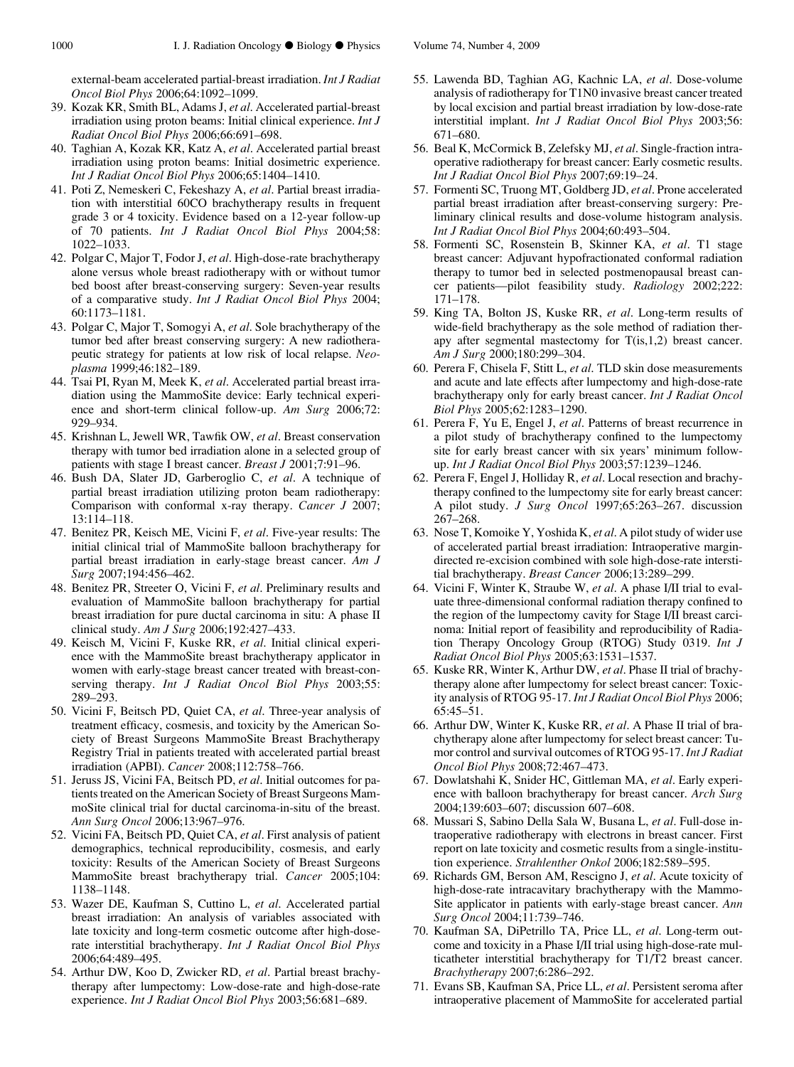<span id="page-13-0"></span>external-beam accelerated partial-breast irradiation. Int J Radiat Oncol Biol Phys 2006;64:1092–1099.

- 39. Kozak KR, Smith BL, Adams J, et al. Accelerated partial-breast irradiation using proton beams: Initial clinical experience. Int J Radiat Oncol Biol Phys 2006;66:691–698.
- 40. Taghian A, Kozak KR, Katz A, et al. Accelerated partial breast irradiation using proton beams: Initial dosimetric experience. Int J Radiat Oncol Biol Phys 2006;65:1404–1410.
- 41. Poti Z, Nemeskeri C, Fekeshazy A, et al. Partial breast irradiation with interstitial 60CO brachytherapy results in frequent grade 3 or 4 toxicity. Evidence based on a 12-year follow-up of 70 patients. Int J Radiat Oncol Biol Phys 2004;58: 1022–1033.
- 42. Polgar C, Major T, Fodor J, et al. High-dose-rate brachytherapy alone versus whole breast radiotherapy with or without tumor bed boost after breast-conserving surgery: Seven-year results of a comparative study. Int J Radiat Oncol Biol Phys 2004; 60:1173–1181.
- 43. Polgar C, Major T, Somogyi A, et al. Sole brachytherapy of the tumor bed after breast conserving surgery: A new radiotherapeutic strategy for patients at low risk of local relapse. Neoplasma 1999;46:182–189.
- 44. Tsai PI, Ryan M, Meek K, et al. Accelerated partial breast irradiation using the MammoSite device: Early technical experience and short-term clinical follow-up. Am Surg 2006;72: 929–934.
- 45. Krishnan L, Jewell WR, Tawfik OW, et al. Breast conservation therapy with tumor bed irradiation alone in a selected group of patients with stage I breast cancer. Breast J 2001;7:91–96.
- 46. Bush DA, Slater JD, Garberoglio C, et al. A technique of partial breast irradiation utilizing proton beam radiotherapy: Comparison with conformal x-ray therapy. Cancer J 2007; 13:114–118.
- 47. Benitez PR, Keisch ME, Vicini F, et al. Five-year results: The initial clinical trial of MammoSite balloon brachytherapy for partial breast irradiation in early-stage breast cancer. Am J Surg 2007;194:456–462.
- 48. Benitez PR, Streeter O, Vicini F, et al. Preliminary results and evaluation of MammoSite balloon brachytherapy for partial breast irradiation for pure ductal carcinoma in situ: A phase II clinical study. Am J Surg 2006;192:427–433.
- 49. Keisch M, Vicini F, Kuske RR, et al. Initial clinical experience with the MammoSite breast brachytherapy applicator in women with early-stage breast cancer treated with breast-conserving therapy. Int J Radiat Oncol Biol Phys 2003;55: 289–293.
- 50. Vicini F, Beitsch PD, Quiet CA, et al. Three-year analysis of treatment efficacy, cosmesis, and toxicity by the American Society of Breast Surgeons MammoSite Breast Brachytherapy Registry Trial in patients treated with accelerated partial breast irradiation (APBI). Cancer 2008;112:758–766.
- 51. Jeruss JS, Vicini FA, Beitsch PD, et al. Initial outcomes for patients treated on the American Society of Breast Surgeons MammoSite clinical trial for ductal carcinoma-in-situ of the breast. Ann Surg Oncol 2006;13:967–976.
- 52. Vicini FA, Beitsch PD, Quiet CA, et al. First analysis of patient demographics, technical reproducibility, cosmesis, and early toxicity: Results of the American Society of Breast Surgeons MammoSite breast brachytherapy trial. Cancer 2005;104: 1138–1148.
- 53. Wazer DE, Kaufman S, Cuttino L, et al. Accelerated partial breast irradiation: An analysis of variables associated with late toxicity and long-term cosmetic outcome after high-doserate interstitial brachytherapy. Int J Radiat Oncol Biol Phys 2006;64:489–495.
- 54. Arthur DW, Koo D, Zwicker RD, et al. Partial breast brachytherapy after lumpectomy: Low-dose-rate and high-dose-rate experience. Int J Radiat Oncol Biol Phys 2003;56:681–689.
- 55. Lawenda BD, Taghian AG, Kachnic LA, et al. Dose-volume analysis of radiotherapy for T1N0 invasive breast cancer treated by local excision and partial breast irradiation by low-dose-rate interstitial implant. *Int J Radiat Oncol Biol Phys* 2003;56: 671–680.
- 56. Beal K, McCormick B, Zelefsky MJ, et al. Single-fraction intraoperative radiotherapy for breast cancer: Early cosmetic results. Int J Radiat Oncol Biol Phys 2007;69:19–24.
- 57. Formenti SC, Truong MT, Goldberg JD, et al. Prone accelerated partial breast irradiation after breast-conserving surgery: Preliminary clinical results and dose-volume histogram analysis. Int J Radiat Oncol Biol Phys 2004;60:493–504.
- 58. Formenti SC, Rosenstein B, Skinner KA, et al. T1 stage breast cancer: Adjuvant hypofractionated conformal radiation therapy to tumor bed in selected postmenopausal breast cancer patients—pilot feasibility study. Radiology 2002;222: 171–178.
- 59. King TA, Bolton JS, Kuske RR, et al. Long-term results of wide-field brachytherapy as the sole method of radiation therapy after segmental mastectomy for T(is,1,2) breast cancer. Am J Surg 2000;180:299–304.
- 60. Perera F, Chisela F, Stitt L, et al. TLD skin dose measurements and acute and late effects after lumpectomy and high-dose-rate brachytherapy only for early breast cancer. Int J Radiat Oncol Biol Phys 2005;62:1283–1290.
- 61. Perera F, Yu E, Engel J, et al. Patterns of breast recurrence in a pilot study of brachytherapy confined to the lumpectomy site for early breast cancer with six years' minimum followup. Int J Radiat Oncol Biol Phys 2003;57:1239–1246.
- 62. Perera F, Engel J, Holliday R, et al. Local resection and brachytherapy confined to the lumpectomy site for early breast cancer: A pilot study. J Surg Oncol 1997;65:263–267. discussion 267–268.
- 63. Nose T, Komoike Y, Yoshida K, et al. A pilot study of wider use of accelerated partial breast irradiation: Intraoperative margindirected re-excision combined with sole high-dose-rate interstitial brachytherapy. Breast Cancer 2006;13:289–299.
- 64. Vicini F, Winter K, Straube W, et al. A phase I/II trial to evaluate three-dimensional conformal radiation therapy confined to the region of the lumpectomy cavity for Stage I/II breast carcinoma: Initial report of feasibility and reproducibility of Radiation Therapy Oncology Group (RTOG) Study 0319. Int J Radiat Oncol Biol Phys 2005;63:1531–1537.
- 65. Kuske RR, Winter K, Arthur DW, et al. Phase II trial of brachytherapy alone after lumpectomy for select breast cancer: Toxicity analysis of RTOG 95-17. Int J Radiat Oncol Biol Phys 2006; 65:45–51.
- 66. Arthur DW, Winter K, Kuske RR, et al. A Phase II trial of brachytherapy alone after lumpectomy for select breast cancer: Tumor control and survival outcomes of RTOG 95-17. Int J Radiat Oncol Biol Phys 2008;72:467–473.
- 67. Dowlatshahi K, Snider HC, Gittleman MA, et al. Early experience with balloon brachytherapy for breast cancer. Arch Surg 2004;139:603–607; discussion 607–608.
- 68. Mussari S, Sabino Della Sala W, Busana L, et al. Full-dose intraoperative radiotherapy with electrons in breast cancer. First report on late toxicity and cosmetic results from a single-institution experience. Strahlenther Onkol 2006;182:589–595.
- 69. Richards GM, Berson AM, Rescigno J, et al. Acute toxicity of high-dose-rate intracavitary brachytherapy with the Mammo-Site applicator in patients with early-stage breast cancer. Ann Surg Oncol 2004;11:739–746.
- 70. Kaufman SA, DiPetrillo TA, Price LL, et al. Long-term outcome and toxicity in a Phase I/II trial using high-dose-rate multicatheter interstitial brachytherapy for T1/T2 breast cancer. Brachytherapy 2007;6:286–292.
- 71. Evans SB, Kaufman SA, Price LL, et al. Persistent seroma after intraoperative placement of MammoSite for accelerated partial